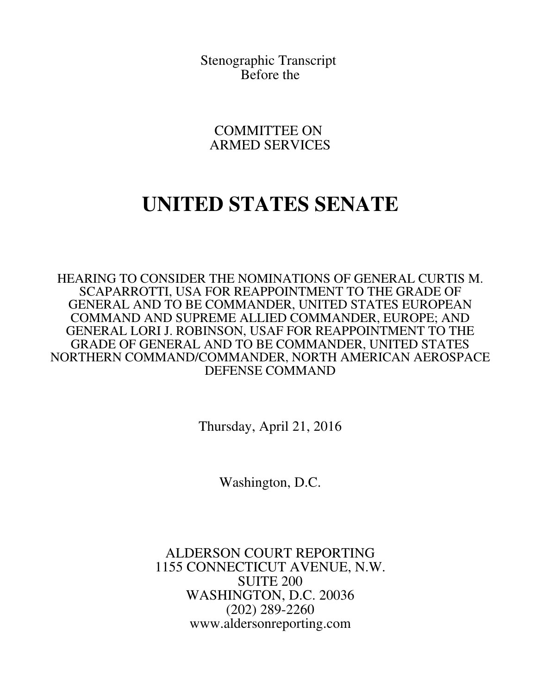Stenographic Transcript Before the

COMMITTEE ON ARMED SERVICES

## **UNITED STATES SENATE**

HEARING TO CONSIDER THE NOMINATIONS OF GENERAL CURTIS M. SCAPARROTTI, USA FOR REAPPOINTMENT TO THE GRADE OF GENERAL AND TO BE COMMANDER, UNITED STATES EUROPEAN COMMAND AND SUPREME ALLIED COMMANDER, EUROPE; AND GENERAL LORI J. ROBINSON, USAF FOR REAPPOINTMENT TO THE GRADE OF GENERAL AND TO BE COMMANDER, UNITED STATES NORTHERN COMMAND/COMMANDER, NORTH AMERICAN AEROSPACE DEFENSE COMMAND

Thursday, April 21, 2016

Washington, D.C.

ALDERSON COURT REPORTING 1155 CONNECTICUT AVENUE, N.W. SUITE 200 WASHINGTON, D.C. 20036 (202) 289-2260 www.aldersonreporting.com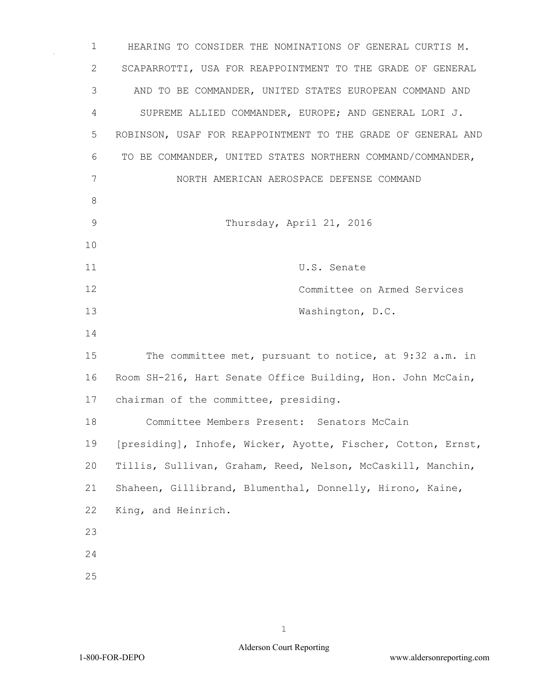HEARING TO CONSIDER THE NOMINATIONS OF GENERAL CURTIS M. SCAPARROTTI, USA FOR REAPPOINTMENT TO THE GRADE OF GENERAL AND TO BE COMMANDER, UNITED STATES EUROPEAN COMMAND AND SUPREME ALLIED COMMANDER, EUROPE; AND GENERAL LORI J. ROBINSON, USAF FOR REAPPOINTMENT TO THE GRADE OF GENERAL AND TO BE COMMANDER, UNITED STATES NORTHERN COMMAND/COMMANDER, NORTH AMERICAN AEROSPACE DEFENSE COMMAND Thursday, April 21, 2016 U.S. Senate Committee on Armed Services 13 Washington, D.C. The committee met, pursuant to notice, at 9:32 a.m. in Room SH-216, Hart Senate Office Building, Hon. John McCain, chairman of the committee, presiding. Committee Members Present: Senators McCain [presiding], Inhofe, Wicker, Ayotte, Fischer, Cotton, Ernst, Tillis, Sullivan, Graham, Reed, Nelson, McCaskill, Manchin, Shaheen, Gillibrand, Blumenthal, Donnelly, Hirono, Kaine, King, and Heinrich.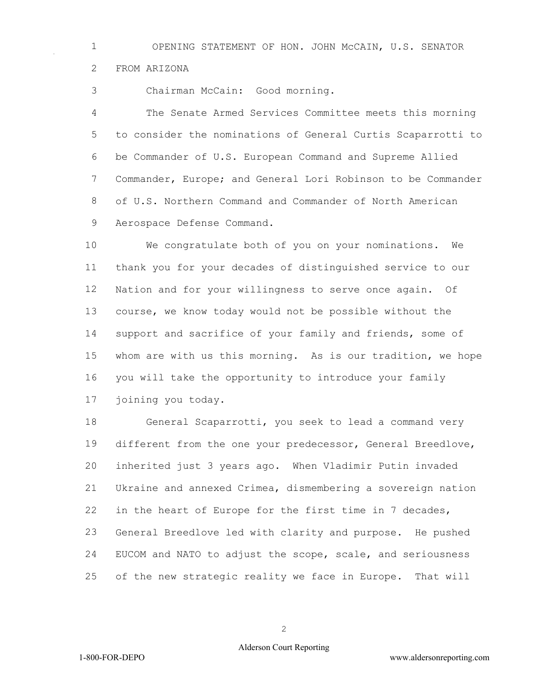OPENING STATEMENT OF HON. JOHN McCAIN, U.S. SENATOR FROM ARIZONA

Chairman McCain: Good morning.

 The Senate Armed Services Committee meets this morning to consider the nominations of General Curtis Scaparrotti to be Commander of U.S. European Command and Supreme Allied Commander, Europe; and General Lori Robinson to be Commander of U.S. Northern Command and Commander of North American Aerospace Defense Command.

 We congratulate both of you on your nominations. We thank you for your decades of distinguished service to our Nation and for your willingness to serve once again. Of course, we know today would not be possible without the 14 support and sacrifice of your family and friends, some of whom are with us this morning. As is our tradition, we hope you will take the opportunity to introduce your family joining you today.

 General Scaparrotti, you seek to lead a command very different from the one your predecessor, General Breedlove, inherited just 3 years ago. When Vladimir Putin invaded Ukraine and annexed Crimea, dismembering a sovereign nation in the heart of Europe for the first time in 7 decades, General Breedlove led with clarity and purpose. He pushed EUCOM and NATO to adjust the scope, scale, and seriousness of the new strategic reality we face in Europe. That will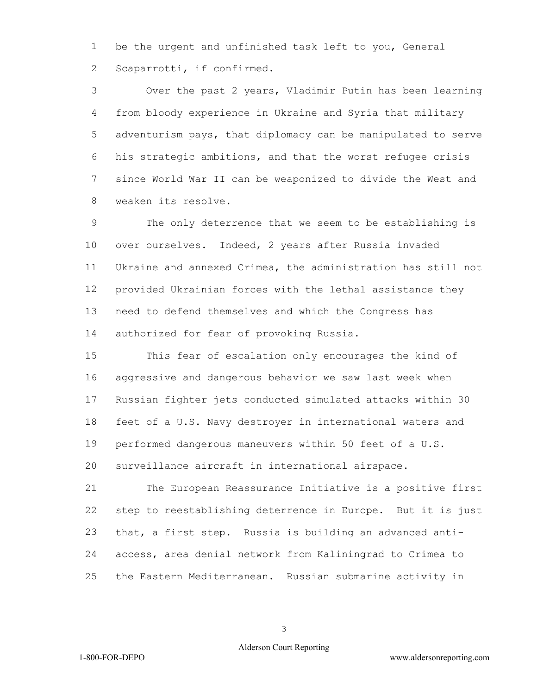be the urgent and unfinished task left to you, General Scaparrotti, if confirmed.

 Over the past 2 years, Vladimir Putin has been learning from bloody experience in Ukraine and Syria that military adventurism pays, that diplomacy can be manipulated to serve his strategic ambitions, and that the worst refugee crisis since World War II can be weaponized to divide the West and weaken its resolve.

 The only deterrence that we seem to be establishing is over ourselves. Indeed, 2 years after Russia invaded Ukraine and annexed Crimea, the administration has still not provided Ukrainian forces with the lethal assistance they need to defend themselves and which the Congress has authorized for fear of provoking Russia.

 This fear of escalation only encourages the kind of aggressive and dangerous behavior we saw last week when Russian fighter jets conducted simulated attacks within 30 feet of a U.S. Navy destroyer in international waters and performed dangerous maneuvers within 50 feet of a U.S. surveillance aircraft in international airspace.

 The European Reassurance Initiative is a positive first step to reestablishing deterrence in Europe. But it is just that, a first step. Russia is building an advanced anti- access, area denial network from Kaliningrad to Crimea to the Eastern Mediterranean. Russian submarine activity in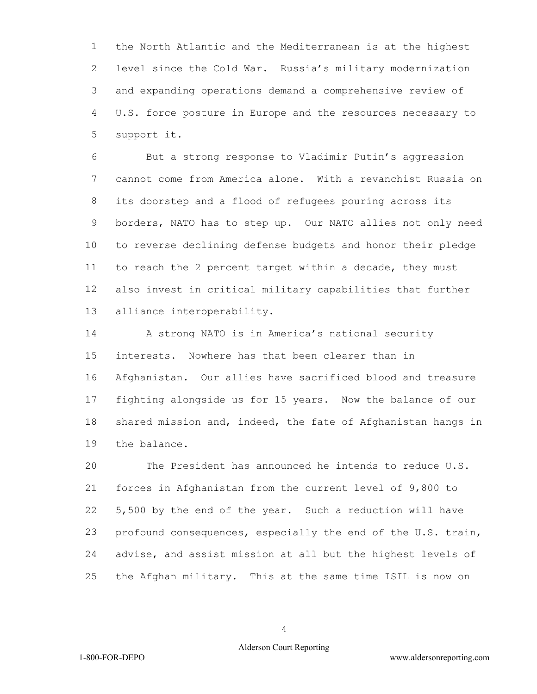the North Atlantic and the Mediterranean is at the highest level since the Cold War. Russia's military modernization and expanding operations demand a comprehensive review of U.S. force posture in Europe and the resources necessary to support it.

 But a strong response to Vladimir Putin's aggression cannot come from America alone. With a revanchist Russia on its doorstep and a flood of refugees pouring across its borders, NATO has to step up. Our NATO allies not only need to reverse declining defense budgets and honor their pledge to reach the 2 percent target within a decade, they must also invest in critical military capabilities that further alliance interoperability.

 A strong NATO is in America's national security interests. Nowhere has that been clearer than in Afghanistan. Our allies have sacrificed blood and treasure fighting alongside us for 15 years. Now the balance of our shared mission and, indeed, the fate of Afghanistan hangs in the balance.

 The President has announced he intends to reduce U.S. forces in Afghanistan from the current level of 9,800 to 5,500 by the end of the year. Such a reduction will have profound consequences, especially the end of the U.S. train, advise, and assist mission at all but the highest levels of the Afghan military. This at the same time ISIL is now on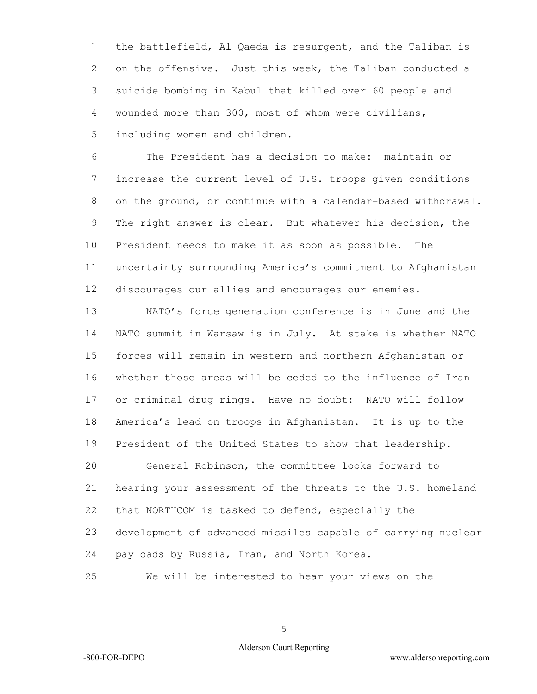the battlefield, Al Qaeda is resurgent, and the Taliban is on the offensive. Just this week, the Taliban conducted a suicide bombing in Kabul that killed over 60 people and wounded more than 300, most of whom were civilians, including women and children.

 The President has a decision to make: maintain or increase the current level of U.S. troops given conditions on the ground, or continue with a calendar-based withdrawal. The right answer is clear. But whatever his decision, the President needs to make it as soon as possible. The uncertainty surrounding America's commitment to Afghanistan discourages our allies and encourages our enemies.

 NATO's force generation conference is in June and the NATO summit in Warsaw is in July. At stake is whether NATO forces will remain in western and northern Afghanistan or whether those areas will be ceded to the influence of Iran or criminal drug rings. Have no doubt: NATO will follow America's lead on troops in Afghanistan. It is up to the President of the United States to show that leadership. General Robinson, the committee looks forward to

 hearing your assessment of the threats to the U.S. homeland that NORTHCOM is tasked to defend, especially the development of advanced missiles capable of carrying nuclear payloads by Russia, Iran, and North Korea.

We will be interested to hear your views on the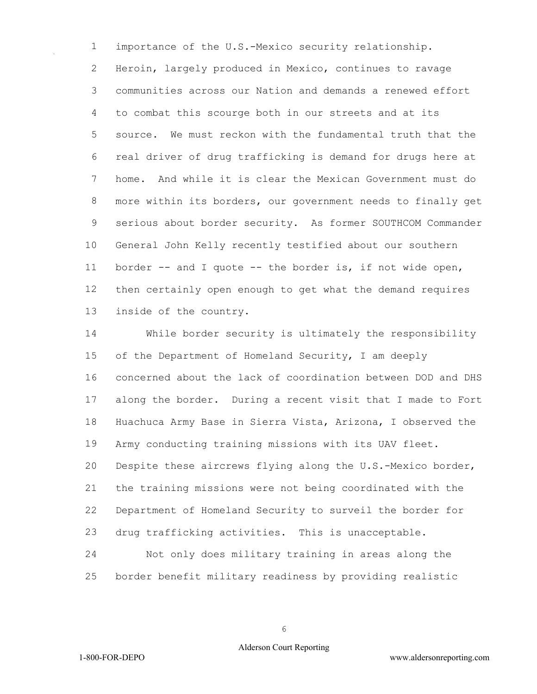importance of the U.S.-Mexico security relationship. Heroin, largely produced in Mexico, continues to ravage communities across our Nation and demands a renewed effort to combat this scourge both in our streets and at its source. We must reckon with the fundamental truth that the real driver of drug trafficking is demand for drugs here at home. And while it is clear the Mexican Government must do more within its borders, our government needs to finally get serious about border security. As former SOUTHCOM Commander General John Kelly recently testified about our southern border -- and I quote -- the border is, if not wide open, then certainly open enough to get what the demand requires inside of the country.

 While border security is ultimately the responsibility of the Department of Homeland Security, I am deeply concerned about the lack of coordination between DOD and DHS along the border. During a recent visit that I made to Fort Huachuca Army Base in Sierra Vista, Arizona, I observed the Army conducting training missions with its UAV fleet. Despite these aircrews flying along the U.S.-Mexico border, the training missions were not being coordinated with the Department of Homeland Security to surveil the border for drug trafficking activities. This is unacceptable.

 Not only does military training in areas along the border benefit military readiness by providing realistic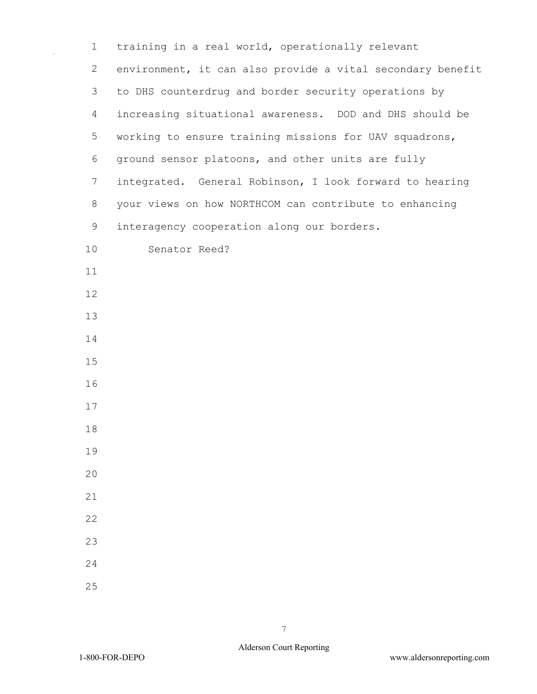| $\mathbf 1$    | training in a real world, operationally relevant           |  |  |  |  |  |  |  |
|----------------|------------------------------------------------------------|--|--|--|--|--|--|--|
| $\overline{2}$ | environment, it can also provide a vital secondary benefit |  |  |  |  |  |  |  |
| 3              | to DHS counterdrug and border security operations by       |  |  |  |  |  |  |  |
| 4              | increasing situational awareness. DOD and DHS should be    |  |  |  |  |  |  |  |
| 5              | working to ensure training missions for UAV squadrons,     |  |  |  |  |  |  |  |
| 6              | ground sensor platoons, and other units are fully          |  |  |  |  |  |  |  |
| $\overline{7}$ | integrated. General Robinson, I look forward to hearing    |  |  |  |  |  |  |  |
| 8              | your views on how NORTHCOM can contribute to enhancing     |  |  |  |  |  |  |  |
| 9              | interagency cooperation along our borders.                 |  |  |  |  |  |  |  |
| 10             | Senator Reed?                                              |  |  |  |  |  |  |  |
| 11             |                                                            |  |  |  |  |  |  |  |
| 12             |                                                            |  |  |  |  |  |  |  |
| 13             |                                                            |  |  |  |  |  |  |  |
| 14             |                                                            |  |  |  |  |  |  |  |
| 15             |                                                            |  |  |  |  |  |  |  |
| 16             |                                                            |  |  |  |  |  |  |  |
| 17             |                                                            |  |  |  |  |  |  |  |
| 18             |                                                            |  |  |  |  |  |  |  |
| 19             |                                                            |  |  |  |  |  |  |  |
| 20             |                                                            |  |  |  |  |  |  |  |
| 21             |                                                            |  |  |  |  |  |  |  |
| 22             |                                                            |  |  |  |  |  |  |  |
| 23             |                                                            |  |  |  |  |  |  |  |
| 24             |                                                            |  |  |  |  |  |  |  |
| 25             |                                                            |  |  |  |  |  |  |  |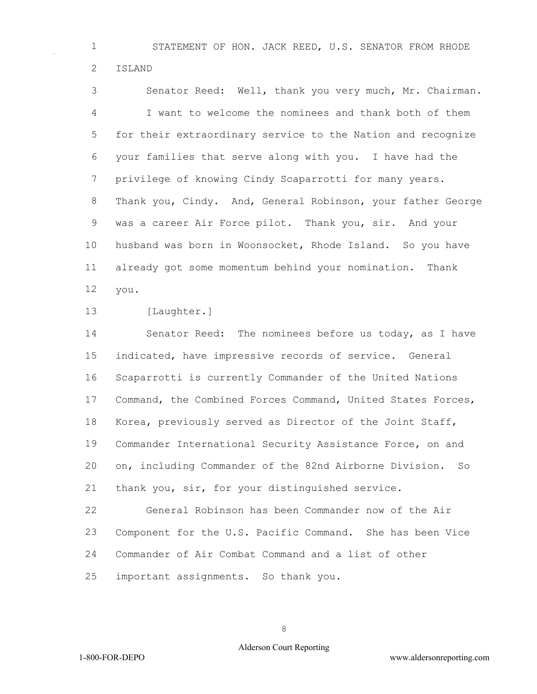STATEMENT OF HON. JACK REED, U.S. SENATOR FROM RHODE ISLAND

 Senator Reed: Well, thank you very much, Mr. Chairman. I want to welcome the nominees and thank both of them for their extraordinary service to the Nation and recognize your families that serve along with you. I have had the privilege of knowing Cindy Scaparrotti for many years. Thank you, Cindy. And, General Robinson, your father George was a career Air Force pilot. Thank you, sir. And your husband was born in Woonsocket, Rhode Island. So you have already got some momentum behind your nomination. Thank you.

[Laughter.]

14 Senator Reed: The nominees before us today, as I have indicated, have impressive records of service. General Scaparrotti is currently Commander of the United Nations Command, the Combined Forces Command, United States Forces, Korea, previously served as Director of the Joint Staff, Commander International Security Assistance Force, on and on, including Commander of the 82nd Airborne Division. So thank you, sir, for your distinguished service.

 General Robinson has been Commander now of the Air Component for the U.S. Pacific Command. She has been Vice Commander of Air Combat Command and a list of other

important assignments. So thank you.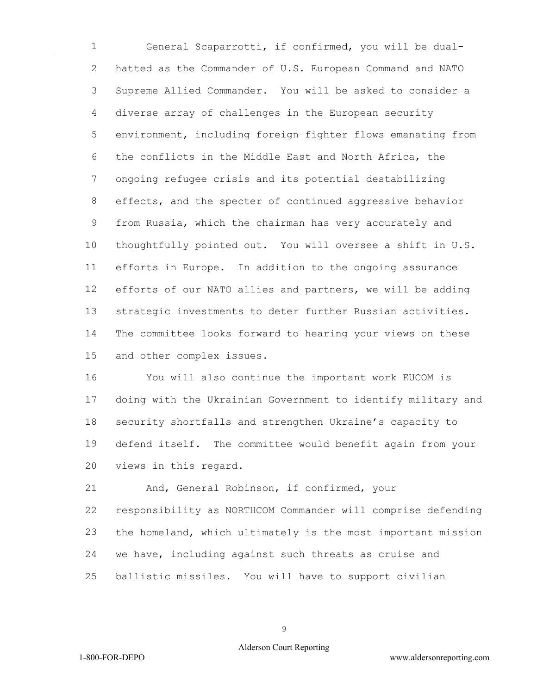General Scaparrotti, if confirmed, you will be dual- hatted as the Commander of U.S. European Command and NATO Supreme Allied Commander. You will be asked to consider a diverse array of challenges in the European security environment, including foreign fighter flows emanating from the conflicts in the Middle East and North Africa, the ongoing refugee crisis and its potential destabilizing effects, and the specter of continued aggressive behavior from Russia, which the chairman has very accurately and thoughtfully pointed out. You will oversee a shift in U.S. efforts in Europe. In addition to the ongoing assurance efforts of our NATO allies and partners, we will be adding strategic investments to deter further Russian activities. The committee looks forward to hearing your views on these and other complex issues.

 You will also continue the important work EUCOM is doing with the Ukrainian Government to identify military and security shortfalls and strengthen Ukraine's capacity to defend itself. The committee would benefit again from your views in this regard.

 And, General Robinson, if confirmed, your responsibility as NORTHCOM Commander will comprise defending the homeland, which ultimately is the most important mission we have, including against such threats as cruise and ballistic missiles. You will have to support civilian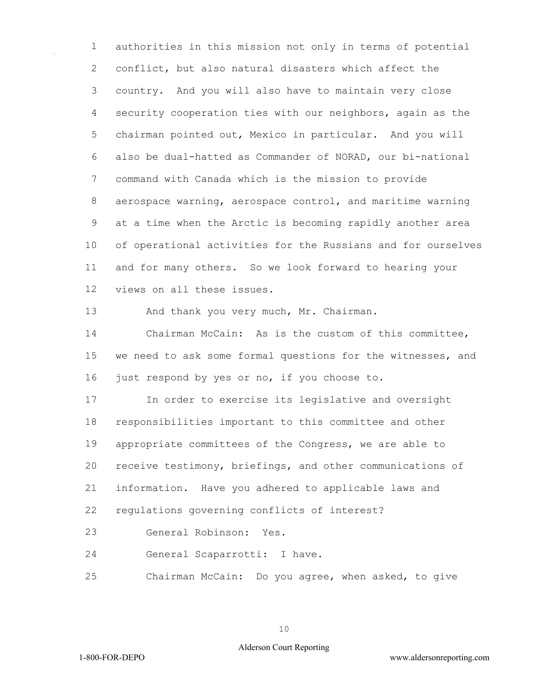authorities in this mission not only in terms of potential conflict, but also natural disasters which affect the country. And you will also have to maintain very close security cooperation ties with our neighbors, again as the chairman pointed out, Mexico in particular. And you will also be dual-hatted as Commander of NORAD, our bi-national command with Canada which is the mission to provide aerospace warning, aerospace control, and maritime warning at a time when the Arctic is becoming rapidly another area of operational activities for the Russians and for ourselves and for many others. So we look forward to hearing your views on all these issues.

13 And thank you very much, Mr. Chairman.

 Chairman McCain: As is the custom of this committee, we need to ask some formal questions for the witnesses, and 16 just respond by yes or no, if you choose to.

 In order to exercise its legislative and oversight responsibilities important to this committee and other appropriate committees of the Congress, we are able to receive testimony, briefings, and other communications of information. Have you adhered to applicable laws and regulations governing conflicts of interest?

General Robinson: Yes.

General Scaparrotti: I have.

Chairman McCain: Do you agree, when asked, to give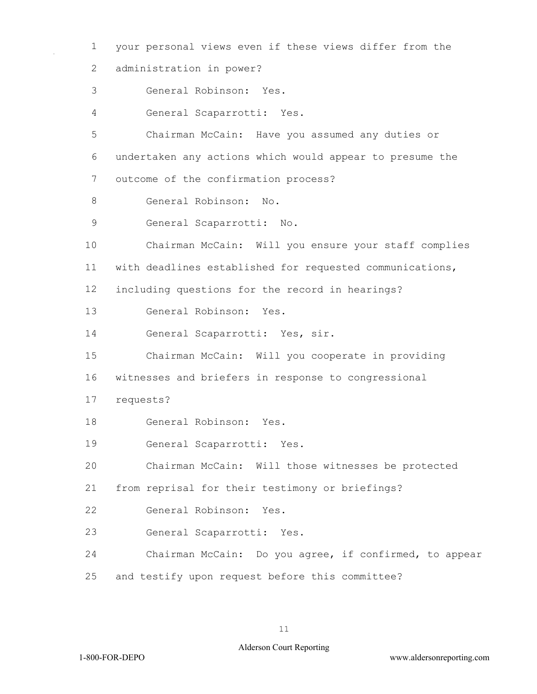your personal views even if these views differ from the administration in power? General Robinson: Yes. General Scaparrotti: Yes. Chairman McCain: Have you assumed any duties or undertaken any actions which would appear to presume the outcome of the confirmation process? General Robinson: No. General Scaparrotti: No. Chairman McCain: Will you ensure your staff complies with deadlines established for requested communications, including questions for the record in hearings? General Robinson: Yes. General Scaparrotti: Yes, sir. Chairman McCain: Will you cooperate in providing witnesses and briefers in response to congressional requests? General Robinson: Yes. General Scaparrotti: Yes. Chairman McCain: Will those witnesses be protected from reprisal for their testimony or briefings? General Robinson: Yes. General Scaparrotti: Yes. Chairman McCain: Do you agree, if confirmed, to appear and testify upon request before this committee?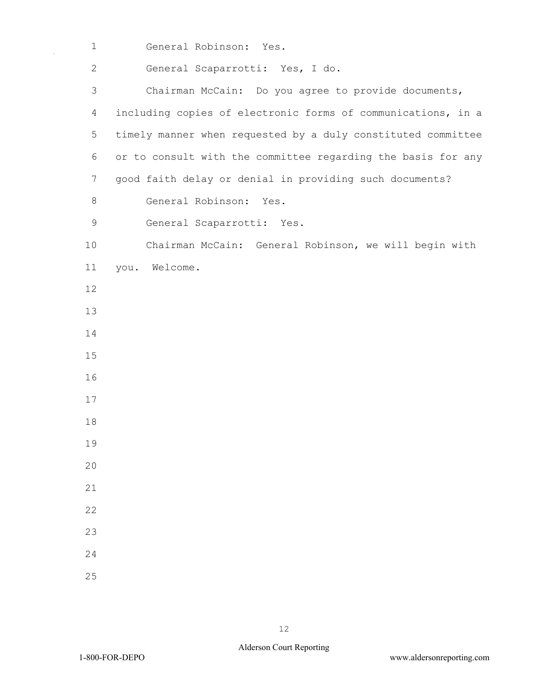General Robinson: Yes.

 General Scaparrotti: Yes, I do. Chairman McCain: Do you agree to provide documents, including copies of electronic forms of communications, in a timely manner when requested by a duly constituted committee or to consult with the committee regarding the basis for any good faith delay or denial in providing such documents? General Robinson: Yes. General Scaparrotti: Yes. Chairman McCain: General Robinson, we will begin with you. Welcome.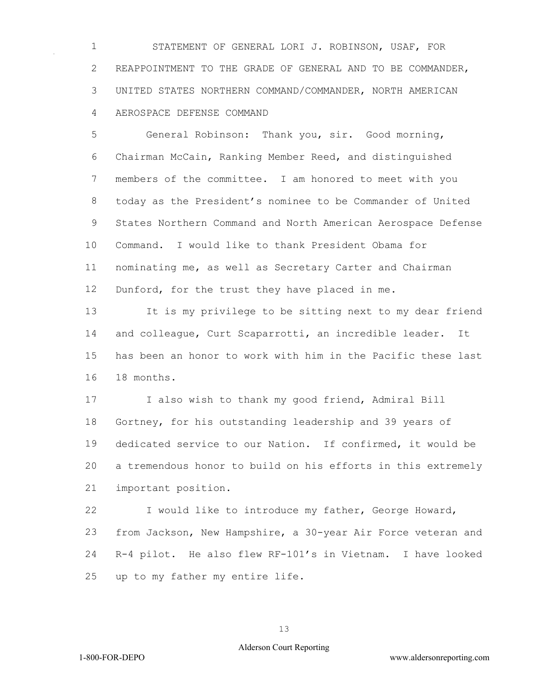STATEMENT OF GENERAL LORI J. ROBINSON, USAF, FOR REAPPOINTMENT TO THE GRADE OF GENERAL AND TO BE COMMANDER, UNITED STATES NORTHERN COMMAND/COMMANDER, NORTH AMERICAN AEROSPACE DEFENSE COMMAND

 General Robinson: Thank you, sir. Good morning, Chairman McCain, Ranking Member Reed, and distinguished members of the committee. I am honored to meet with you today as the President's nominee to be Commander of United States Northern Command and North American Aerospace Defense Command. I would like to thank President Obama for nominating me, as well as Secretary Carter and Chairman 12 Dunford, for the trust they have placed in me.

 It is my privilege to be sitting next to my dear friend and colleague, Curt Scaparrotti, an incredible leader. It has been an honor to work with him in the Pacific these last 18 months.

 I also wish to thank my good friend, Admiral Bill Gortney, for his outstanding leadership and 39 years of dedicated service to our Nation. If confirmed, it would be a tremendous honor to build on his efforts in this extremely important position.

 I would like to introduce my father, George Howard, from Jackson, New Hampshire, a 30-year Air Force veteran and R-4 pilot. He also flew RF-101's in Vietnam. I have looked up to my father my entire life.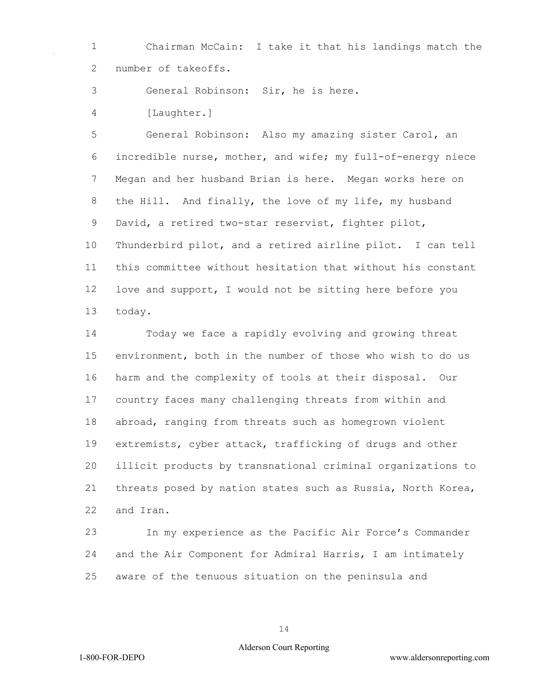Chairman McCain: I take it that his landings match the number of takeoffs.

General Robinson: Sir, he is here.

[Laughter.]

 General Robinson: Also my amazing sister Carol, an incredible nurse, mother, and wife; my full-of-energy niece Megan and her husband Brian is here. Megan works here on the Hill. And finally, the love of my life, my husband David, a retired two-star reservist, fighter pilot, Thunderbird pilot, and a retired airline pilot. I can tell this committee without hesitation that without his constant love and support, I would not be sitting here before you today.

 Today we face a rapidly evolving and growing threat environment, both in the number of those who wish to do us harm and the complexity of tools at their disposal. Our country faces many challenging threats from within and abroad, ranging from threats such as homegrown violent extremists, cyber attack, trafficking of drugs and other illicit products by transnational criminal organizations to threats posed by nation states such as Russia, North Korea, and Iran.

 In my experience as the Pacific Air Force's Commander and the Air Component for Admiral Harris, I am intimately aware of the tenuous situation on the peninsula and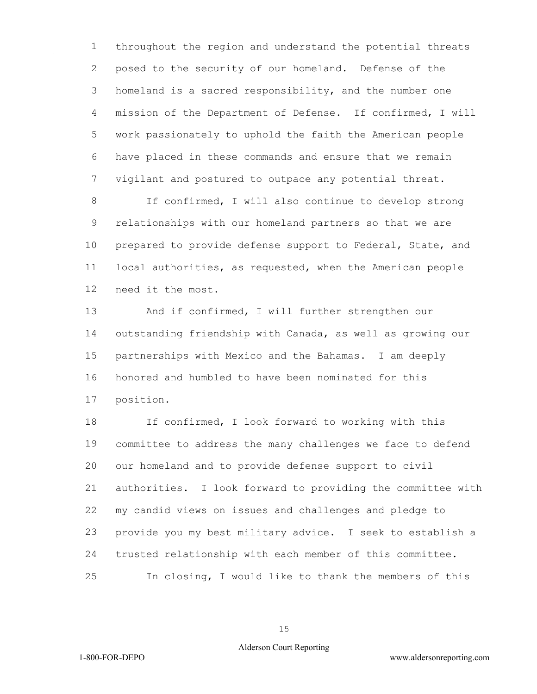throughout the region and understand the potential threats posed to the security of our homeland. Defense of the homeland is a sacred responsibility, and the number one mission of the Department of Defense. If confirmed, I will work passionately to uphold the faith the American people have placed in these commands and ensure that we remain vigilant and postured to outpace any potential threat.

 If confirmed, I will also continue to develop strong relationships with our homeland partners so that we are prepared to provide defense support to Federal, State, and local authorities, as requested, when the American people need it the most.

 And if confirmed, I will further strengthen our outstanding friendship with Canada, as well as growing our partnerships with Mexico and the Bahamas. I am deeply honored and humbled to have been nominated for this position.

 If confirmed, I look forward to working with this committee to address the many challenges we face to defend our homeland and to provide defense support to civil authorities. I look forward to providing the committee with my candid views on issues and challenges and pledge to provide you my best military advice. I seek to establish a trusted relationship with each member of this committee. In closing, I would like to thank the members of this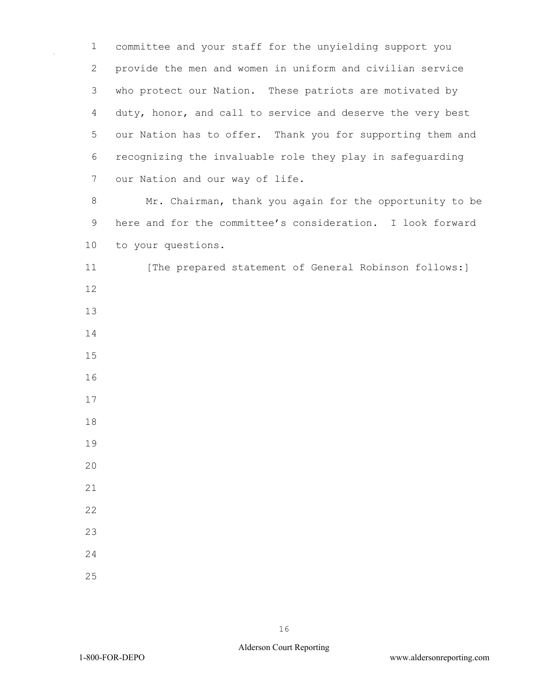committee and your staff for the unyielding support you provide the men and women in uniform and civilian service who protect our Nation. These patriots are motivated by duty, honor, and call to service and deserve the very best our Nation has to offer. Thank you for supporting them and recognizing the invaluable role they play in safeguarding our Nation and our way of life.

 Mr. Chairman, thank you again for the opportunity to be here and for the committee's consideration. I look forward to your questions.

11 [The prepared statement of General Robinson follows:]

- 
- 
- 
- 
- 
- 
- 
- 
- 
- 
- 
- 
- 
- 
-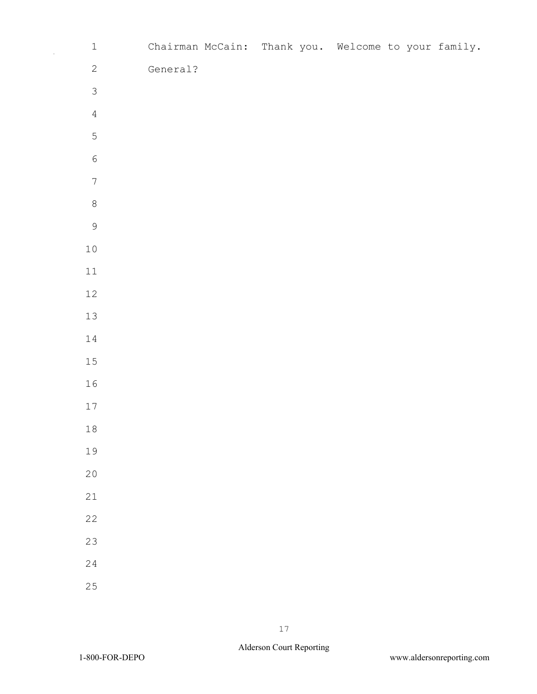| $\ensuremath{\mathbbm{1}}$ |          | Chairman McCain: Thank you. Welcome to your family. |  |  |  |
|----------------------------|----------|-----------------------------------------------------|--|--|--|
| $\overline{c}$             | General? |                                                     |  |  |  |
| $\mathfrak{S}$             |          |                                                     |  |  |  |
| $\overline{4}$             |          |                                                     |  |  |  |
| $\overline{5}$             |          |                                                     |  |  |  |
| $\epsilon$                 |          |                                                     |  |  |  |
| $\boldsymbol{7}$           |          |                                                     |  |  |  |
| $\,8\,$                    |          |                                                     |  |  |  |
| $\mathcal{G}$              |          |                                                     |  |  |  |
| $1\,0$                     |          |                                                     |  |  |  |
| $11\,$                     |          |                                                     |  |  |  |
| $12\,$                     |          |                                                     |  |  |  |
| $13\,$                     |          |                                                     |  |  |  |
| $1\,4$                     |          |                                                     |  |  |  |
| $15\,$                     |          |                                                     |  |  |  |
| 16                         |          |                                                     |  |  |  |
| $17\,$                     |          |                                                     |  |  |  |
| $1\,8$                     |          |                                                     |  |  |  |
| 19                         |          |                                                     |  |  |  |
| $20$                       |          |                                                     |  |  |  |
| $21\,$                     |          |                                                     |  |  |  |
| $2\sqrt{2}$                |          |                                                     |  |  |  |
| 23                         |          |                                                     |  |  |  |
| 24                         |          |                                                     |  |  |  |
| 25                         |          |                                                     |  |  |  |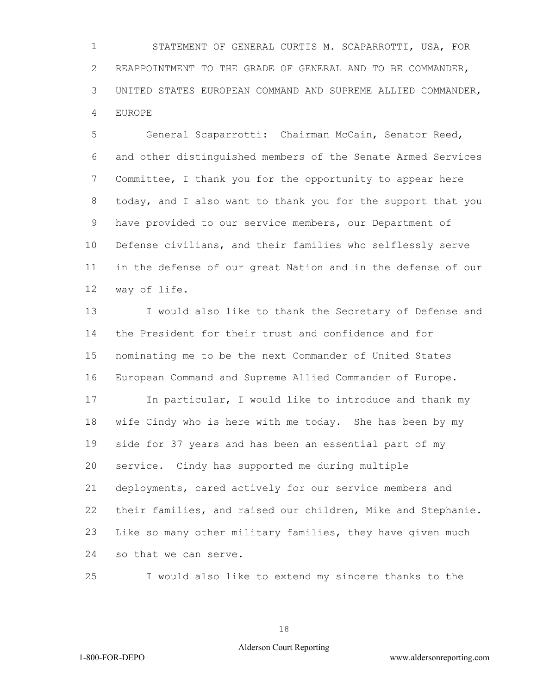STATEMENT OF GENERAL CURTIS M. SCAPARROTTI, USA, FOR REAPPOINTMENT TO THE GRADE OF GENERAL AND TO BE COMMANDER, UNITED STATES EUROPEAN COMMAND AND SUPREME ALLIED COMMANDER, EUROPE

 General Scaparrotti: Chairman McCain, Senator Reed, and other distinguished members of the Senate Armed Services Committee, I thank you for the opportunity to appear here today, and I also want to thank you for the support that you have provided to our service members, our Department of Defense civilians, and their families who selflessly serve in the defense of our great Nation and in the defense of our way of life.

 I would also like to thank the Secretary of Defense and the President for their trust and confidence and for nominating me to be the next Commander of United States European Command and Supreme Allied Commander of Europe.

17 In particular, I would like to introduce and thank my wife Cindy who is here with me today. She has been by my side for 37 years and has been an essential part of my service. Cindy has supported me during multiple deployments, cared actively for our service members and their families, and raised our children, Mike and Stephanie. Like so many other military families, they have given much so that we can serve.

I would also like to extend my sincere thanks to the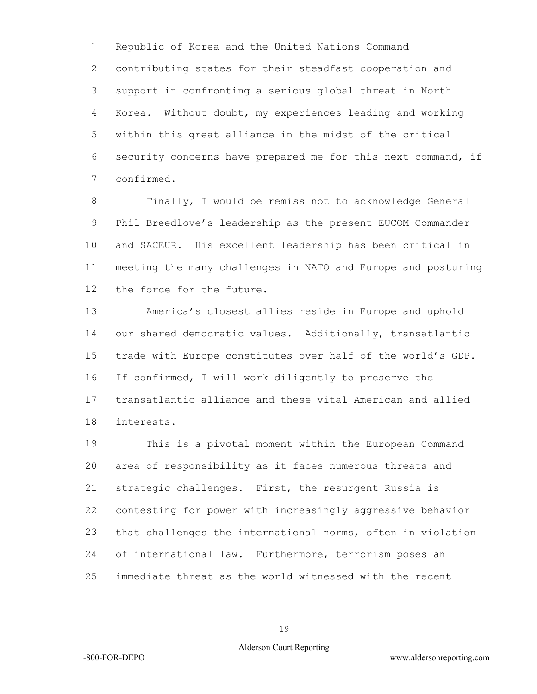Republic of Korea and the United Nations Command contributing states for their steadfast cooperation and support in confronting a serious global threat in North Korea. Without doubt, my experiences leading and working within this great alliance in the midst of the critical security concerns have prepared me for this next command, if confirmed.

 Finally, I would be remiss not to acknowledge General Phil Breedlove's leadership as the present EUCOM Commander and SACEUR. His excellent leadership has been critical in meeting the many challenges in NATO and Europe and posturing the force for the future.

 America's closest allies reside in Europe and uphold our shared democratic values. Additionally, transatlantic trade with Europe constitutes over half of the world's GDP. If confirmed, I will work diligently to preserve the transatlantic alliance and these vital American and allied interests.

 This is a pivotal moment within the European Command area of responsibility as it faces numerous threats and strategic challenges. First, the resurgent Russia is contesting for power with increasingly aggressive behavior that challenges the international norms, often in violation of international law. Furthermore, terrorism poses an immediate threat as the world witnessed with the recent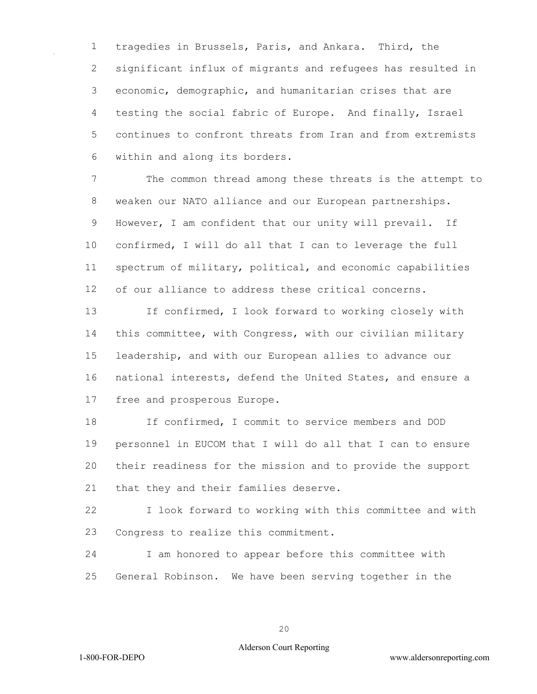tragedies in Brussels, Paris, and Ankara. Third, the significant influx of migrants and refugees has resulted in economic, demographic, and humanitarian crises that are testing the social fabric of Europe. And finally, Israel continues to confront threats from Iran and from extremists within and along its borders.

 The common thread among these threats is the attempt to weaken our NATO alliance and our European partnerships. However, I am confident that our unity will prevail. If confirmed, I will do all that I can to leverage the full spectrum of military, political, and economic capabilities of our alliance to address these critical concerns.

 If confirmed, I look forward to working closely with this committee, with Congress, with our civilian military leadership, and with our European allies to advance our national interests, defend the United States, and ensure a free and prosperous Europe.

 If confirmed, I commit to service members and DOD personnel in EUCOM that I will do all that I can to ensure their readiness for the mission and to provide the support that they and their families deserve.

 I look forward to working with this committee and with Congress to realize this commitment.

 I am honored to appear before this committee with General Robinson. We have been serving together in the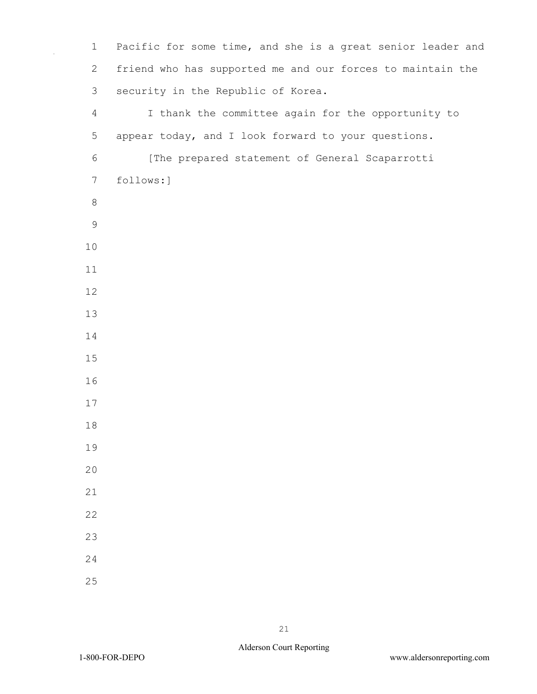1 Pacific for some time, and she is a great senior leader and 2 friend who has supported me and our forces to maintain the 3 security in the Republic of Korea. 4 I thank the committee again for the opportunity to 5 appear today, and I look forward to your questions. 6 [The prepared statement of General Scaparrotti 7 follows:]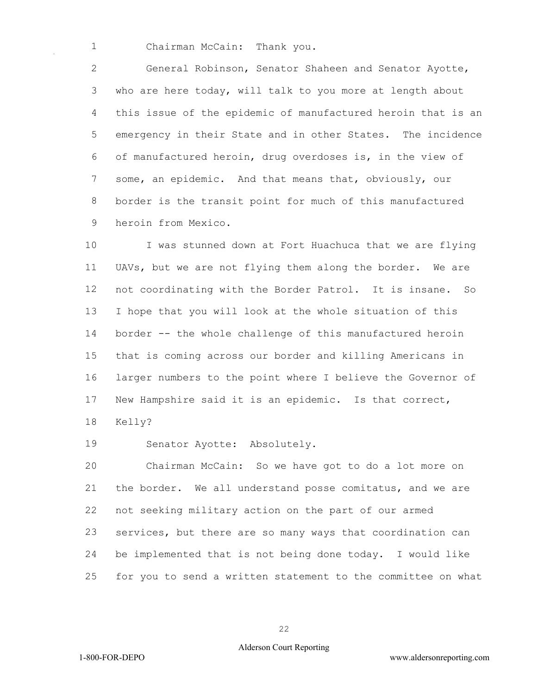Chairman McCain: Thank you.

 General Robinson, Senator Shaheen and Senator Ayotte, who are here today, will talk to you more at length about this issue of the epidemic of manufactured heroin that is an emergency in their State and in other States. The incidence of manufactured heroin, drug overdoses is, in the view of some, an epidemic. And that means that, obviously, our border is the transit point for much of this manufactured heroin from Mexico.

 I was stunned down at Fort Huachuca that we are flying UAVs, but we are not flying them along the border. We are not coordinating with the Border Patrol. It is insane. So I hope that you will look at the whole situation of this border -- the whole challenge of this manufactured heroin that is coming across our border and killing Americans in larger numbers to the point where I believe the Governor of New Hampshire said it is an epidemic. Is that correct, Kelly?

Senator Ayotte: Absolutely.

 Chairman McCain: So we have got to do a lot more on the border. We all understand posse comitatus, and we are not seeking military action on the part of our armed services, but there are so many ways that coordination can be implemented that is not being done today. I would like for you to send a written statement to the committee on what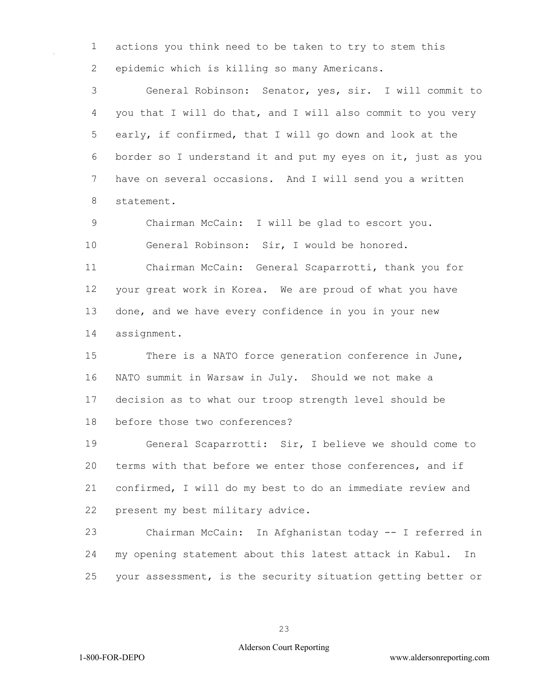actions you think need to be taken to try to stem this epidemic which is killing so many Americans.

 General Robinson: Senator, yes, sir. I will commit to you that I will do that, and I will also commit to you very early, if confirmed, that I will go down and look at the border so I understand it and put my eyes on it, just as you have on several occasions. And I will send you a written statement.

 Chairman McCain: I will be glad to escort you. General Robinson: Sir, I would be honored. Chairman McCain: General Scaparrotti, thank you for your great work in Korea. We are proud of what you have done, and we have every confidence in you in your new

assignment.

 There is a NATO force generation conference in June, NATO summit in Warsaw in July. Should we not make a decision as to what our troop strength level should be before those two conferences?

 General Scaparrotti: Sir, I believe we should come to terms with that before we enter those conferences, and if confirmed, I will do my best to do an immediate review and present my best military advice.

 Chairman McCain: In Afghanistan today -- I referred in my opening statement about this latest attack in Kabul. In your assessment, is the security situation getting better or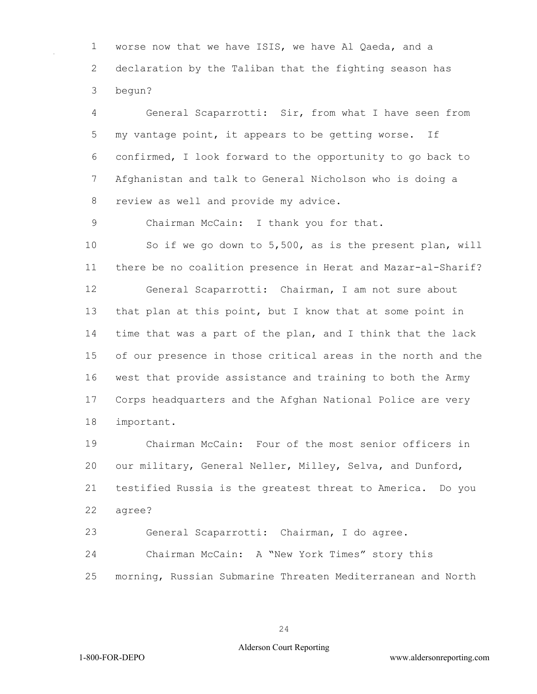worse now that we have ISIS, we have Al Qaeda, and a declaration by the Taliban that the fighting season has begun?

 General Scaparrotti: Sir, from what I have seen from my vantage point, it appears to be getting worse. If confirmed, I look forward to the opportunity to go back to Afghanistan and talk to General Nicholson who is doing a review as well and provide my advice.

Chairman McCain: I thank you for that.

 So if we go down to 5,500, as is the present plan, will there be no coalition presence in Herat and Mazar-al-Sharif? General Scaparrotti: Chairman, I am not sure about that plan at this point, but I know that at some point in time that was a part of the plan, and I think that the lack of our presence in those critical areas in the north and the west that provide assistance and training to both the Army Corps headquarters and the Afghan National Police are very important.

 Chairman McCain: Four of the most senior officers in our military, General Neller, Milley, Selva, and Dunford, testified Russia is the greatest threat to America. Do you agree?

General Scaparrotti: Chairman, I do agree.

Chairman McCain: A "New York Times" story this

morning, Russian Submarine Threaten Mediterranean and North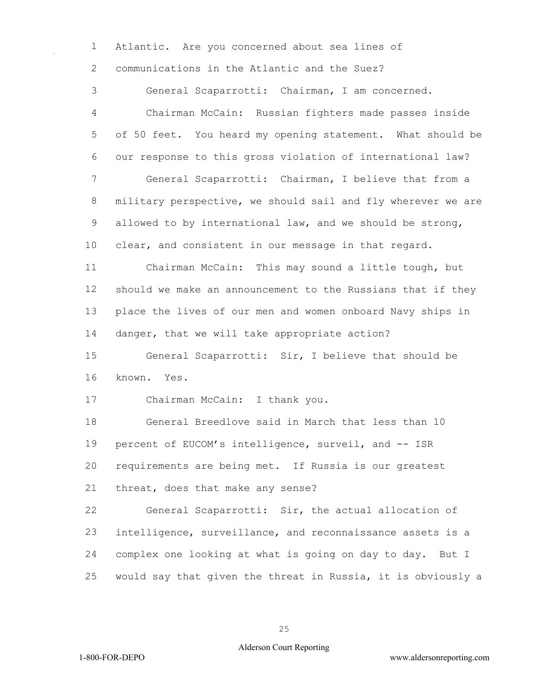Atlantic. Are you concerned about sea lines of communications in the Atlantic and the Suez?

 General Scaparrotti: Chairman, I am concerned. Chairman McCain: Russian fighters made passes inside of 50 feet. You heard my opening statement. What should be our response to this gross violation of international law? General Scaparrotti: Chairman, I believe that from a military perspective, we should sail and fly wherever we are allowed to by international law, and we should be strong, clear, and consistent in our message in that regard. Chairman McCain: This may sound a little tough, but should we make an announcement to the Russians that if they place the lives of our men and women onboard Navy ships in danger, that we will take appropriate action? General Scaparrotti: Sir, I believe that should be known. Yes. Chairman McCain: I thank you. General Breedlove said in March that less than 10 percent of EUCOM's intelligence, surveil, and -- ISR requirements are being met. If Russia is our greatest threat, does that make any sense? General Scaparrotti: Sir, the actual allocation of intelligence, surveillance, and reconnaissance assets is a complex one looking at what is going on day to day. But I would say that given the threat in Russia, it is obviously a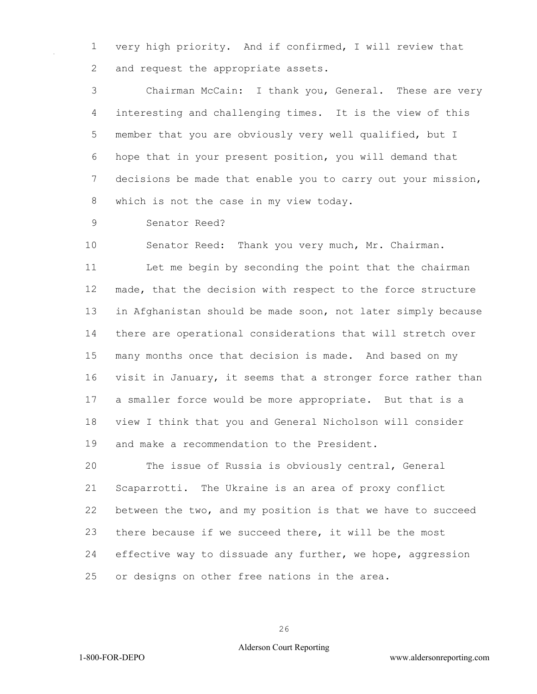very high priority. And if confirmed, I will review that 2 and request the appropriate assets.

 Chairman McCain: I thank you, General. These are very interesting and challenging times. It is the view of this member that you are obviously very well qualified, but I hope that in your present position, you will demand that decisions be made that enable you to carry out your mission, which is not the case in my view today.

Senator Reed?

 Senator Reed: Thank you very much, Mr. Chairman. Let me begin by seconding the point that the chairman made, that the decision with respect to the force structure in Afghanistan should be made soon, not later simply because there are operational considerations that will stretch over many months once that decision is made. And based on my visit in January, it seems that a stronger force rather than a smaller force would be more appropriate. But that is a view I think that you and General Nicholson will consider and make a recommendation to the President.

 The issue of Russia is obviously central, General Scaparrotti. The Ukraine is an area of proxy conflict between the two, and my position is that we have to succeed there because if we succeed there, it will be the most effective way to dissuade any further, we hope, aggression or designs on other free nations in the area.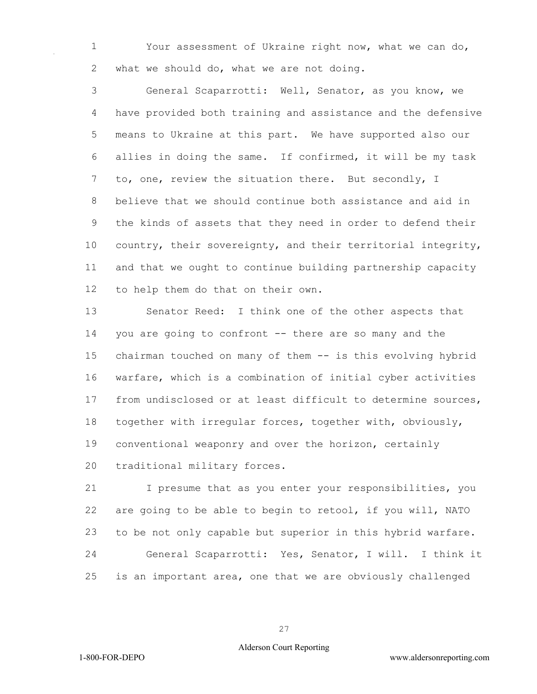Your assessment of Ukraine right now, what we can do, 2 what we should do, what we are not doing.

 General Scaparrotti: Well, Senator, as you know, we have provided both training and assistance and the defensive means to Ukraine at this part. We have supported also our allies in doing the same. If confirmed, it will be my task to, one, review the situation there. But secondly, I believe that we should continue both assistance and aid in the kinds of assets that they need in order to defend their country, their sovereignty, and their territorial integrity, and that we ought to continue building partnership capacity to help them do that on their own.

 Senator Reed: I think one of the other aspects that you are going to confront -- there are so many and the chairman touched on many of them -- is this evolving hybrid warfare, which is a combination of initial cyber activities from undisclosed or at least difficult to determine sources, together with irregular forces, together with, obviously, conventional weaponry and over the horizon, certainly traditional military forces.

 I presume that as you enter your responsibilities, you are going to be able to begin to retool, if you will, NATO to be not only capable but superior in this hybrid warfare. General Scaparrotti: Yes, Senator, I will. I think it is an important area, one that we are obviously challenged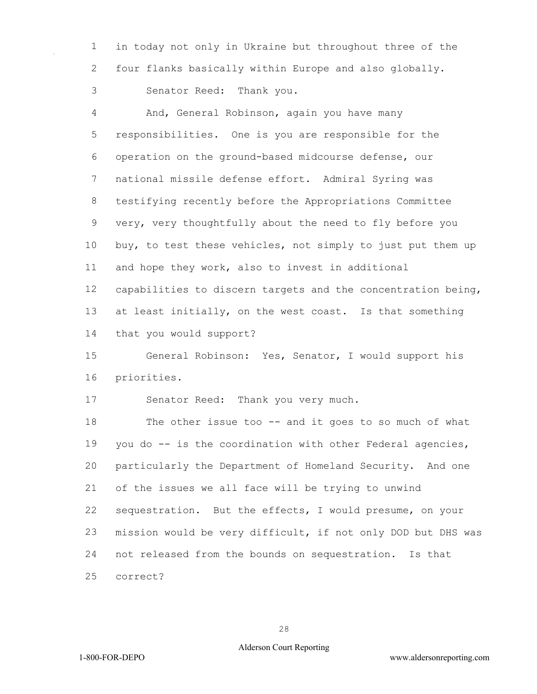in today not only in Ukraine but throughout three of the four flanks basically within Europe and also globally. Senator Reed: Thank you.

 And, General Robinson, again you have many responsibilities. One is you are responsible for the operation on the ground-based midcourse defense, our national missile defense effort. Admiral Syring was testifying recently before the Appropriations Committee very, very thoughtfully about the need to fly before you buy, to test these vehicles, not simply to just put them up and hope they work, also to invest in additional capabilities to discern targets and the concentration being, at least initially, on the west coast. Is that something that you would support?

 General Robinson: Yes, Senator, I would support his priorities.

Senator Reed: Thank you very much.

 The other issue too -- and it goes to so much of what you do -- is the coordination with other Federal agencies, particularly the Department of Homeland Security. And one of the issues we all face will be trying to unwind sequestration. But the effects, I would presume, on your mission would be very difficult, if not only DOD but DHS was not released from the bounds on sequestration. Is that correct?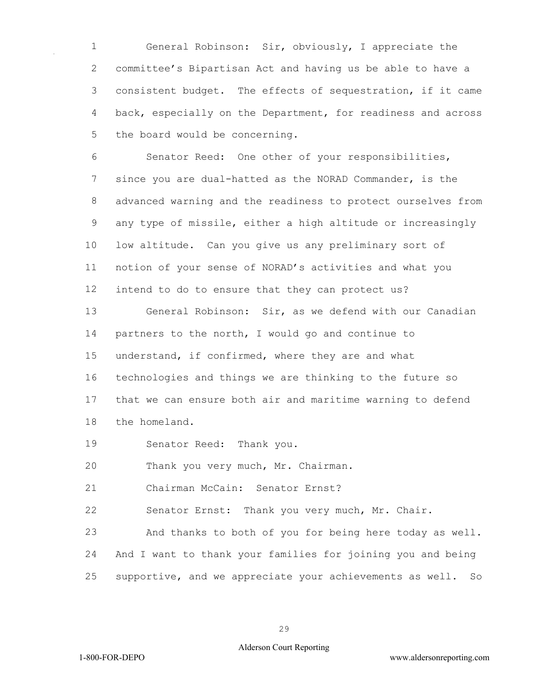General Robinson: Sir, obviously, I appreciate the committee's Bipartisan Act and having us be able to have a consistent budget. The effects of sequestration, if it came back, especially on the Department, for readiness and across the board would be concerning.

 Senator Reed: One other of your responsibilities, since you are dual-hatted as the NORAD Commander, is the advanced warning and the readiness to protect ourselves from any type of missile, either a high altitude or increasingly low altitude. Can you give us any preliminary sort of notion of your sense of NORAD's activities and what you intend to do to ensure that they can protect us?

 General Robinson: Sir, as we defend with our Canadian partners to the north, I would go and continue to understand, if confirmed, where they are and what technologies and things we are thinking to the future so that we can ensure both air and maritime warning to defend the homeland.

Senator Reed: Thank you.

Thank you very much, Mr. Chairman.

Chairman McCain: Senator Ernst?

Senator Ernst: Thank you very much, Mr. Chair.

 And thanks to both of you for being here today as well. And I want to thank your families for joining you and being supportive, and we appreciate your achievements as well. So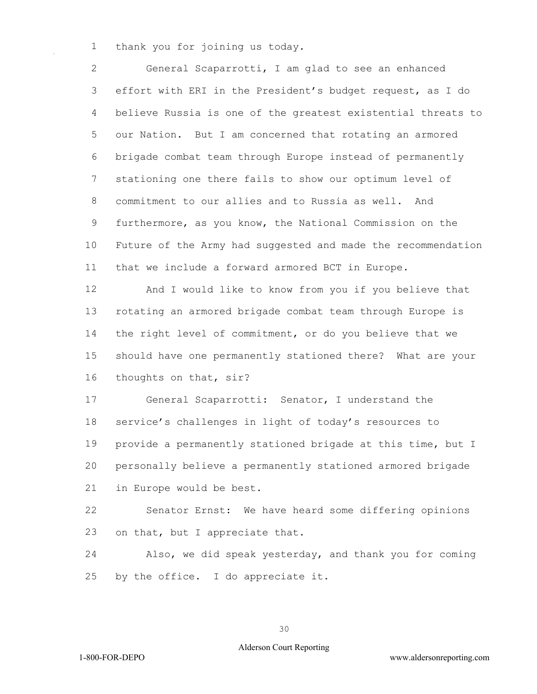thank you for joining us today.

 General Scaparrotti, I am glad to see an enhanced effort with ERI in the President's budget request, as I do believe Russia is one of the greatest existential threats to our Nation. But I am concerned that rotating an armored brigade combat team through Europe instead of permanently stationing one there fails to show our optimum level of commitment to our allies and to Russia as well. And furthermore, as you know, the National Commission on the Future of the Army had suggested and made the recommendation that we include a forward armored BCT in Europe.

 And I would like to know from you if you believe that rotating an armored brigade combat team through Europe is the right level of commitment, or do you believe that we should have one permanently stationed there? What are your thoughts on that, sir?

 General Scaparrotti: Senator, I understand the service's challenges in light of today's resources to provide a permanently stationed brigade at this time, but I personally believe a permanently stationed armored brigade in Europe would be best.

 Senator Ernst: We have heard some differing opinions on that, but I appreciate that.

 Also, we did speak yesterday, and thank you for coming by the office. I do appreciate it.

## Alderson Court Reporting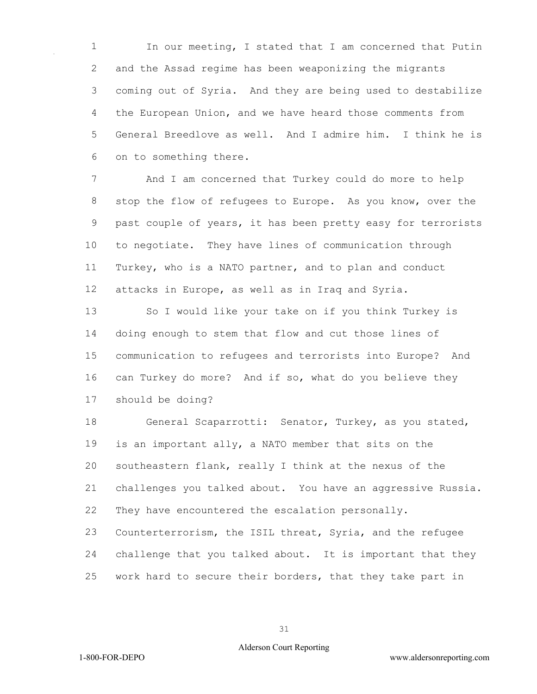In our meeting, I stated that I am concerned that Putin and the Assad regime has been weaponizing the migrants coming out of Syria. And they are being used to destabilize the European Union, and we have heard those comments from General Breedlove as well. And I admire him. I think he is on to something there.

 And I am concerned that Turkey could do more to help stop the flow of refugees to Europe. As you know, over the past couple of years, it has been pretty easy for terrorists to negotiate. They have lines of communication through Turkey, who is a NATO partner, and to plan and conduct attacks in Europe, as well as in Iraq and Syria.

13 So I would like your take on if you think Turkey is doing enough to stem that flow and cut those lines of communication to refugees and terrorists into Europe? And can Turkey do more? And if so, what do you believe they should be doing?

 General Scaparrotti: Senator, Turkey, as you stated, is an important ally, a NATO member that sits on the southeastern flank, really I think at the nexus of the challenges you talked about. You have an aggressive Russia. They have encountered the escalation personally. Counterterrorism, the ISIL threat, Syria, and the refugee challenge that you talked about. It is important that they

work hard to secure their borders, that they take part in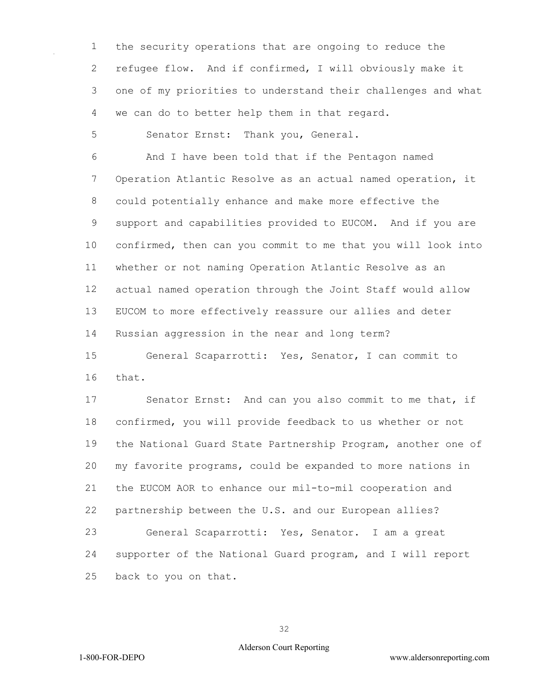the security operations that are ongoing to reduce the refugee flow. And if confirmed, I will obviously make it one of my priorities to understand their challenges and what we can do to better help them in that regard.

Senator Ernst: Thank you, General.

 And I have been told that if the Pentagon named Operation Atlantic Resolve as an actual named operation, it could potentially enhance and make more effective the support and capabilities provided to EUCOM. And if you are confirmed, then can you commit to me that you will look into whether or not naming Operation Atlantic Resolve as an actual named operation through the Joint Staff would allow EUCOM to more effectively reassure our allies and deter Russian aggression in the near and long term?

 General Scaparrotti: Yes, Senator, I can commit to that.

 Senator Ernst: And can you also commit to me that, if confirmed, you will provide feedback to us whether or not the National Guard State Partnership Program, another one of my favorite programs, could be expanded to more nations in the EUCOM AOR to enhance our mil-to-mil cooperation and partnership between the U.S. and our European allies? General Scaparrotti: Yes, Senator. I am a great supporter of the National Guard program, and I will report back to you on that.

## Alderson Court Reporting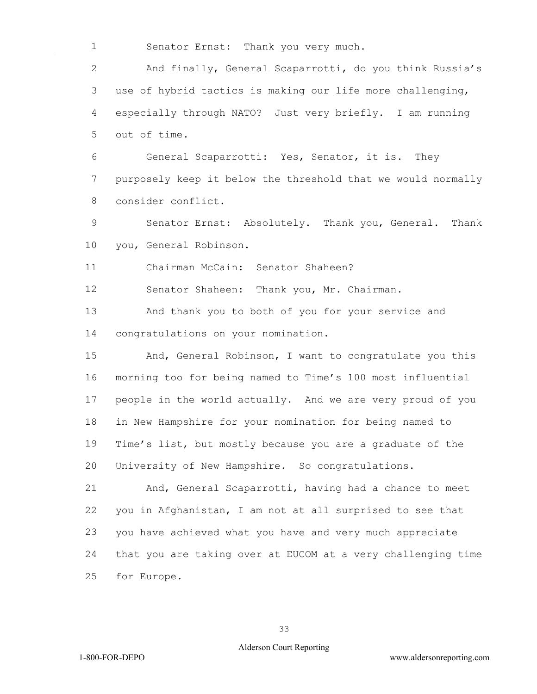Senator Ernst: Thank you very much.

 And finally, General Scaparrotti, do you think Russia's use of hybrid tactics is making our life more challenging, especially through NATO? Just very briefly. I am running out of time.

 General Scaparrotti: Yes, Senator, it is. They purposely keep it below the threshold that we would normally consider conflict.

 Senator Ernst: Absolutely. Thank you, General. Thank you, General Robinson.

Chairman McCain: Senator Shaheen?

Senator Shaheen: Thank you, Mr. Chairman.

 And thank you to both of you for your service and congratulations on your nomination.

 And, General Robinson, I want to congratulate you this morning too for being named to Time's 100 most influential people in the world actually. And we are very proud of you in New Hampshire for your nomination for being named to Time's list, but mostly because you are a graduate of the University of New Hampshire. So congratulations.

 And, General Scaparrotti, having had a chance to meet you in Afghanistan, I am not at all surprised to see that you have achieved what you have and very much appreciate that you are taking over at EUCOM at a very challenging time for Europe.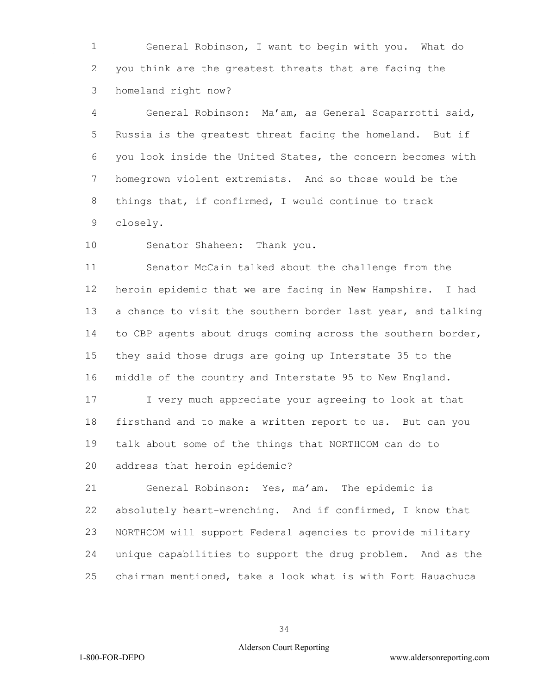General Robinson, I want to begin with you. What do you think are the greatest threats that are facing the homeland right now?

 General Robinson: Ma'am, as General Scaparrotti said, Russia is the greatest threat facing the homeland. But if you look inside the United States, the concern becomes with homegrown violent extremists. And so those would be the things that, if confirmed, I would continue to track closely.

Senator Shaheen: Thank you.

 Senator McCain talked about the challenge from the heroin epidemic that we are facing in New Hampshire. I had a chance to visit the southern border last year, and talking to CBP agents about drugs coming across the southern border, they said those drugs are going up Interstate 35 to the middle of the country and Interstate 95 to New England.

 I very much appreciate your agreeing to look at that firsthand and to make a written report to us. But can you talk about some of the things that NORTHCOM can do to address that heroin epidemic?

 General Robinson: Yes, ma'am. The epidemic is absolutely heart-wrenching. And if confirmed, I know that NORTHCOM will support Federal agencies to provide military unique capabilities to support the drug problem. And as the chairman mentioned, take a look what is with Fort Hauachuca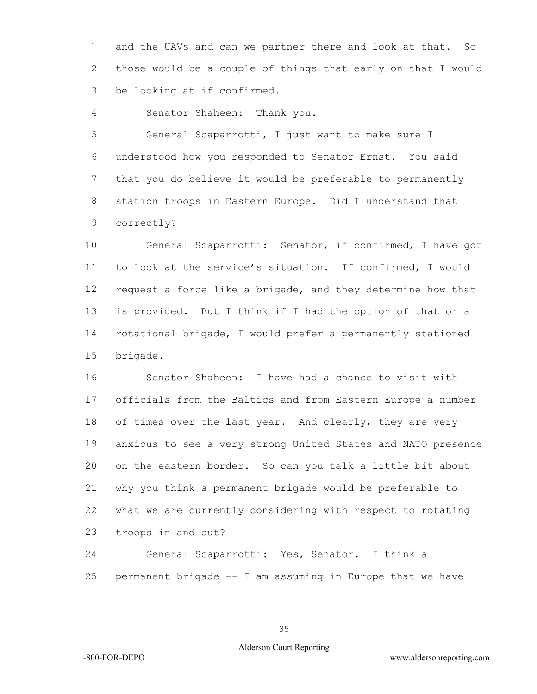and the UAVs and can we partner there and look at that. So those would be a couple of things that early on that I would be looking at if confirmed.

Senator Shaheen: Thank you.

 General Scaparrotti, I just want to make sure I understood how you responded to Senator Ernst. You said that you do believe it would be preferable to permanently station troops in Eastern Europe. Did I understand that correctly?

 General Scaparrotti: Senator, if confirmed, I have got to look at the service's situation. If confirmed, I would request a force like a brigade, and they determine how that is provided. But I think if I had the option of that or a rotational brigade, I would prefer a permanently stationed brigade.

 Senator Shaheen: I have had a chance to visit with officials from the Baltics and from Eastern Europe a number 18 of times over the last year. And clearly, they are very anxious to see a very strong United States and NATO presence on the eastern border. So can you talk a little bit about why you think a permanent brigade would be preferable to what we are currently considering with respect to rotating troops in and out?

 General Scaparrotti: Yes, Senator. I think a permanent brigade -- I am assuming in Europe that we have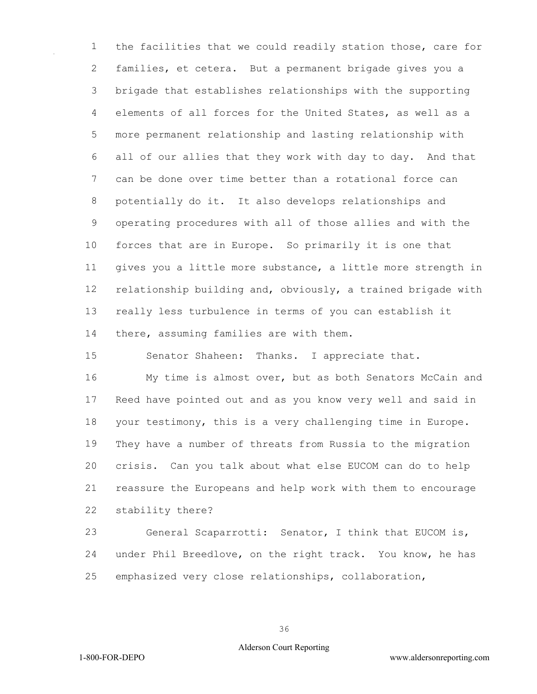the facilities that we could readily station those, care for families, et cetera. But a permanent brigade gives you a brigade that establishes relationships with the supporting elements of all forces for the United States, as well as a more permanent relationship and lasting relationship with all of our allies that they work with day to day. And that can be done over time better than a rotational force can potentially do it. It also develops relationships and operating procedures with all of those allies and with the forces that are in Europe. So primarily it is one that gives you a little more substance, a little more strength in relationship building and, obviously, a trained brigade with really less turbulence in terms of you can establish it there, assuming families are with them.

Senator Shaheen: Thanks. I appreciate that.

 My time is almost over, but as both Senators McCain and Reed have pointed out and as you know very well and said in your testimony, this is a very challenging time in Europe. They have a number of threats from Russia to the migration crisis. Can you talk about what else EUCOM can do to help reassure the Europeans and help work with them to encourage stability there?

 General Scaparrotti: Senator, I think that EUCOM is, under Phil Breedlove, on the right track. You know, he has emphasized very close relationships, collaboration,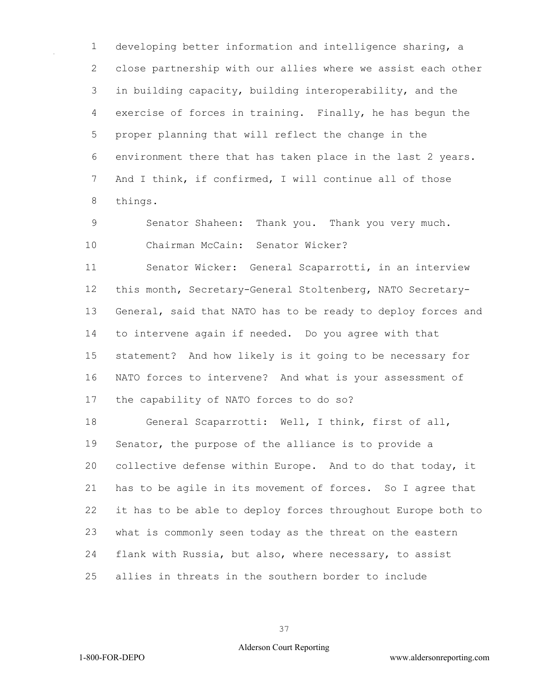developing better information and intelligence sharing, a close partnership with our allies where we assist each other in building capacity, building interoperability, and the exercise of forces in training. Finally, he has begun the proper planning that will reflect the change in the environment there that has taken place in the last 2 years. And I think, if confirmed, I will continue all of those things.

 Senator Shaheen: Thank you. Thank you very much. Chairman McCain: Senator Wicker?

 Senator Wicker: General Scaparrotti, in an interview this month, Secretary-General Stoltenberg, NATO Secretary- General, said that NATO has to be ready to deploy forces and to intervene again if needed. Do you agree with that statement? And how likely is it going to be necessary for NATO forces to intervene? And what is your assessment of the capability of NATO forces to do so?

 General Scaparrotti: Well, I think, first of all, Senator, the purpose of the alliance is to provide a collective defense within Europe. And to do that today, it has to be agile in its movement of forces. So I agree that it has to be able to deploy forces throughout Europe both to what is commonly seen today as the threat on the eastern flank with Russia, but also, where necessary, to assist allies in threats in the southern border to include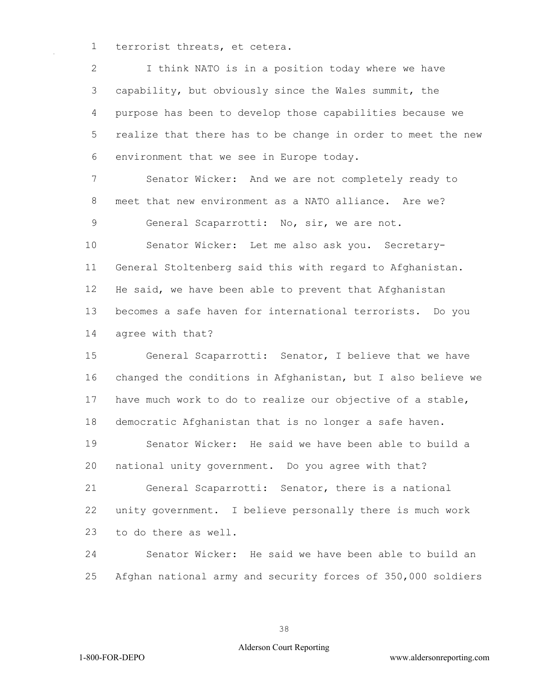terrorist threats, et cetera.

 I think NATO is in a position today where we have capability, but obviously since the Wales summit, the purpose has been to develop those capabilities because we realize that there has to be change in order to meet the new environment that we see in Europe today.

 Senator Wicker: And we are not completely ready to meet that new environment as a NATO alliance. Are we? 9 General Scaparrotti: No, sir, we are not.

 Senator Wicker: Let me also ask you. Secretary- General Stoltenberg said this with regard to Afghanistan. He said, we have been able to prevent that Afghanistan becomes a safe haven for international terrorists. Do you agree with that?

 General Scaparrotti: Senator, I believe that we have changed the conditions in Afghanistan, but I also believe we have much work to do to realize our objective of a stable, democratic Afghanistan that is no longer a safe haven. Senator Wicker: He said we have been able to build a national unity government. Do you agree with that? General Scaparrotti: Senator, there is a national unity government. I believe personally there is much work to do there as well.

 Senator Wicker: He said we have been able to build an Afghan national army and security forces of 350,000 soldiers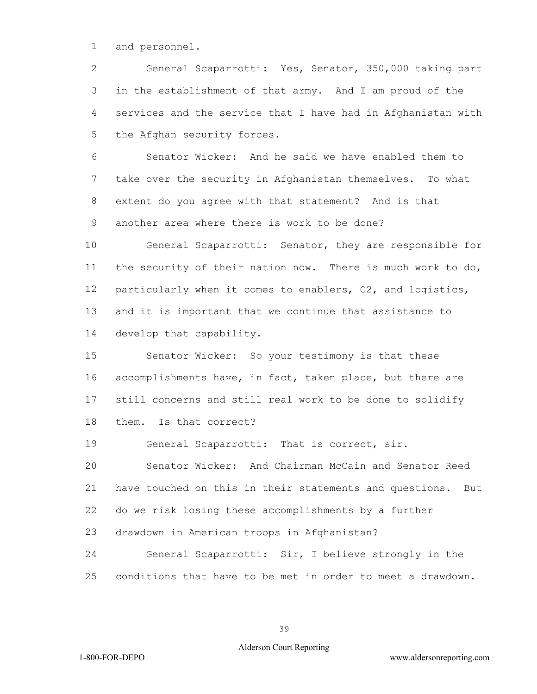and personnel.

 General Scaparrotti: Yes, Senator, 350,000 taking part in the establishment of that army. And I am proud of the services and the service that I have had in Afghanistan with the Afghan security forces.

 Senator Wicker: And he said we have enabled them to take over the security in Afghanistan themselves. To what extent do you agree with that statement? And is that another area where there is work to be done?

 General Scaparrotti: Senator, they are responsible for 11 the security of their nation now. There is much work to do, particularly when it comes to enablers, C2, and logistics, and it is important that we continue that assistance to develop that capability.

 Senator Wicker: So your testimony is that these accomplishments have, in fact, taken place, but there are still concerns and still real work to be done to solidify them. Is that correct?

General Scaparrotti: That is correct, sir.

 Senator Wicker: And Chairman McCain and Senator Reed have touched on this in their statements and questions. But do we risk losing these accomplishments by a further

drawdown in American troops in Afghanistan?

 General Scaparrotti: Sir, I believe strongly in the conditions that have to be met in order to meet a drawdown.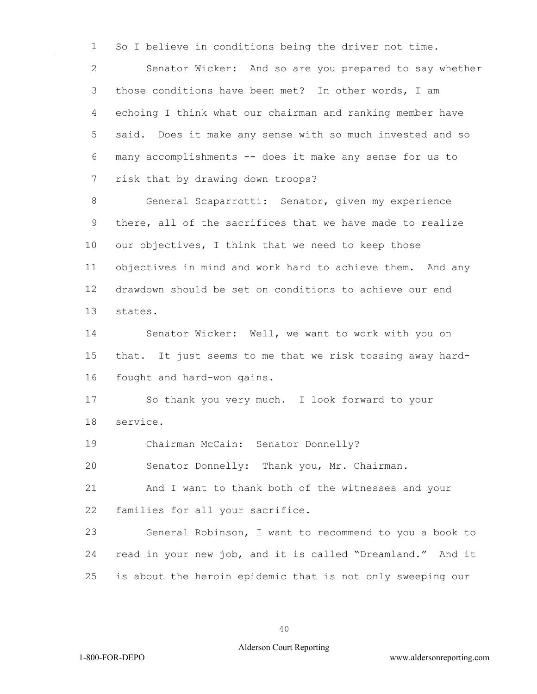So I believe in conditions being the driver not time.

 Senator Wicker: And so are you prepared to say whether those conditions have been met? In other words, I am echoing I think what our chairman and ranking member have said. Does it make any sense with so much invested and so many accomplishments -- does it make any sense for us to risk that by drawing down troops?

 General Scaparrotti: Senator, given my experience there, all of the sacrifices that we have made to realize our objectives, I think that we need to keep those objectives in mind and work hard to achieve them. And any drawdown should be set on conditions to achieve our end states.

 Senator Wicker: Well, we want to work with you on that. It just seems to me that we risk tossing away hard-fought and hard-won gains.

 So thank you very much. I look forward to your service.

Chairman McCain: Senator Donnelly?

Senator Donnelly: Thank you, Mr. Chairman.

 And I want to thank both of the witnesses and your families for all your sacrifice.

 General Robinson, I want to recommend to you a book to read in your new job, and it is called "Dreamland." And it is about the heroin epidemic that is not only sweeping our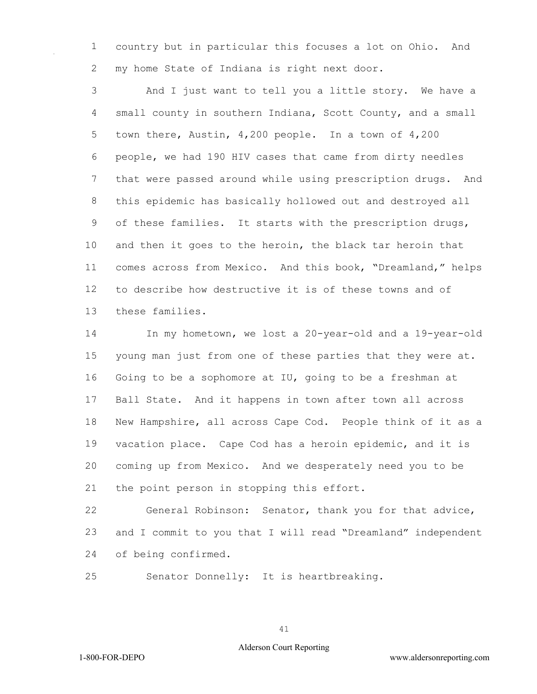country but in particular this focuses a lot on Ohio. And my home State of Indiana is right next door.

 And I just want to tell you a little story. We have a small county in southern Indiana, Scott County, and a small town there, Austin, 4,200 people. In a town of 4,200 people, we had 190 HIV cases that came from dirty needles that were passed around while using prescription drugs. And this epidemic has basically hollowed out and destroyed all of these families. It starts with the prescription drugs, and then it goes to the heroin, the black tar heroin that comes across from Mexico. And this book, "Dreamland," helps to describe how destructive it is of these towns and of these families.

 In my hometown, we lost a 20-year-old and a 19-year-old young man just from one of these parties that they were at. Going to be a sophomore at IU, going to be a freshman at Ball State. And it happens in town after town all across New Hampshire, all across Cape Cod. People think of it as a vacation place. Cape Cod has a heroin epidemic, and it is coming up from Mexico. And we desperately need you to be 21 the point person in stopping this effort.

 General Robinson: Senator, thank you for that advice, and I commit to you that I will read "Dreamland" independent of being confirmed.

Senator Donnelly: It is heartbreaking.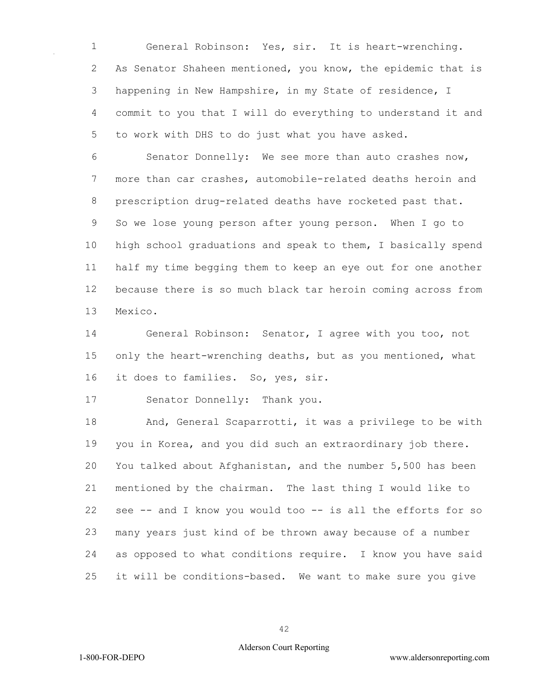General Robinson: Yes, sir. It is heart-wrenching. As Senator Shaheen mentioned, you know, the epidemic that is happening in New Hampshire, in my State of residence, I commit to you that I will do everything to understand it and to work with DHS to do just what you have asked.

 Senator Donnelly: We see more than auto crashes now, more than car crashes, automobile-related deaths heroin and prescription drug-related deaths have rocketed past that. So we lose young person after young person. When I go to high school graduations and speak to them, I basically spend half my time begging them to keep an eye out for one another because there is so much black tar heroin coming across from Mexico.

 General Robinson: Senator, I agree with you too, not 15 only the heart-wrenching deaths, but as you mentioned, what it does to families. So, yes, sir.

Senator Donnelly: Thank you.

 And, General Scaparrotti, it was a privilege to be with you in Korea, and you did such an extraordinary job there. You talked about Afghanistan, and the number 5,500 has been mentioned by the chairman. The last thing I would like to see -- and I know you would too -- is all the efforts for so many years just kind of be thrown away because of a number as opposed to what conditions require. I know you have said it will be conditions-based. We want to make sure you give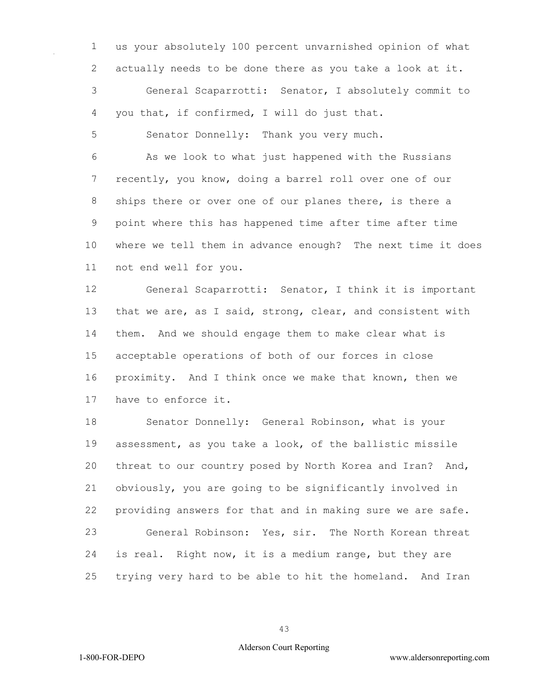us your absolutely 100 percent unvarnished opinion of what actually needs to be done there as you take a look at it.

 General Scaparrotti: Senator, I absolutely commit to you that, if confirmed, I will do just that.

Senator Donnelly: Thank you very much.

 As we look to what just happened with the Russians recently, you know, doing a barrel roll over one of our ships there or over one of our planes there, is there a point where this has happened time after time after time where we tell them in advance enough? The next time it does not end well for you.

 General Scaparrotti: Senator, I think it is important 13 that we are, as I said, strong, clear, and consistent with them. And we should engage them to make clear what is acceptable operations of both of our forces in close proximity. And I think once we make that known, then we have to enforce it.

 Senator Donnelly: General Robinson, what is your assessment, as you take a look, of the ballistic missile threat to our country posed by North Korea and Iran? And, obviously, you are going to be significantly involved in providing answers for that and in making sure we are safe. General Robinson: Yes, sir. The North Korean threat is real. Right now, it is a medium range, but they are trying very hard to be able to hit the homeland. And Iran

#### Alderson Court Reporting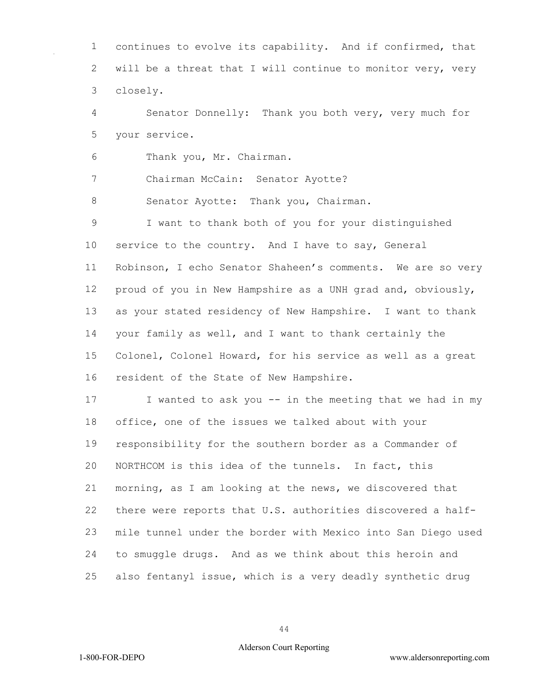continues to evolve its capability. And if confirmed, that will be a threat that I will continue to monitor very, very closely.

 Senator Donnelly: Thank you both very, very much for your service.

Thank you, Mr. Chairman.

Chairman McCain: Senator Ayotte?

8 Senator Ayotte: Thank you, Chairman.

 I want to thank both of you for your distinguished 10 service to the country. And I have to say, General Robinson, I echo Senator Shaheen's comments. We are so very proud of you in New Hampshire as a UNH grad and, obviously, as your stated residency of New Hampshire. I want to thank your family as well, and I want to thank certainly the Colonel, Colonel Howard, for his service as well as a great resident of the State of New Hampshire.

17 I wanted to ask you -- in the meeting that we had in my office, one of the issues we talked about with your responsibility for the southern border as a Commander of NORTHCOM is this idea of the tunnels. In fact, this morning, as I am looking at the news, we discovered that there were reports that U.S. authorities discovered a half- mile tunnel under the border with Mexico into San Diego used to smuggle drugs. And as we think about this heroin and also fentanyl issue, which is a very deadly synthetic drug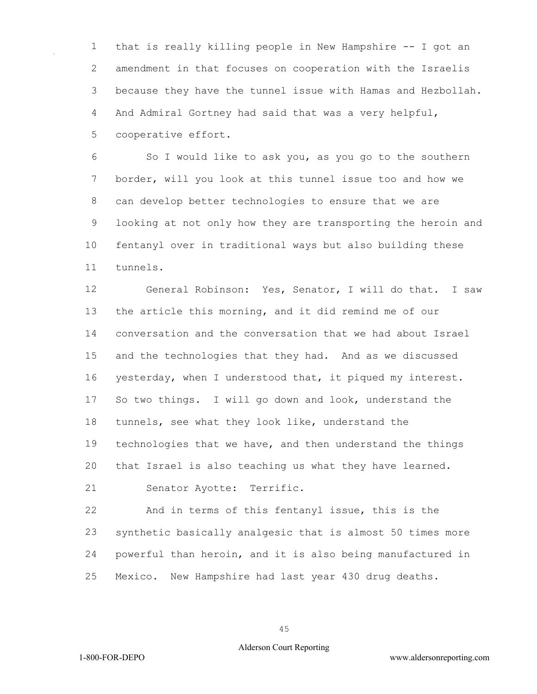that is really killing people in New Hampshire -- I got an amendment in that focuses on cooperation with the Israelis because they have the tunnel issue with Hamas and Hezbollah. And Admiral Gortney had said that was a very helpful, cooperative effort.

 So I would like to ask you, as you go to the southern border, will you look at this tunnel issue too and how we can develop better technologies to ensure that we are looking at not only how they are transporting the heroin and fentanyl over in traditional ways but also building these tunnels.

 General Robinson: Yes, Senator, I will do that. I saw the article this morning, and it did remind me of our conversation and the conversation that we had about Israel and the technologies that they had. And as we discussed yesterday, when I understood that, it piqued my interest. So two things. I will go down and look, understand the tunnels, see what they look like, understand the technologies that we have, and then understand the things that Israel is also teaching us what they have learned. Senator Ayotte: Terrific.

 And in terms of this fentanyl issue, this is the synthetic basically analgesic that is almost 50 times more powerful than heroin, and it is also being manufactured in Mexico. New Hampshire had last year 430 drug deaths.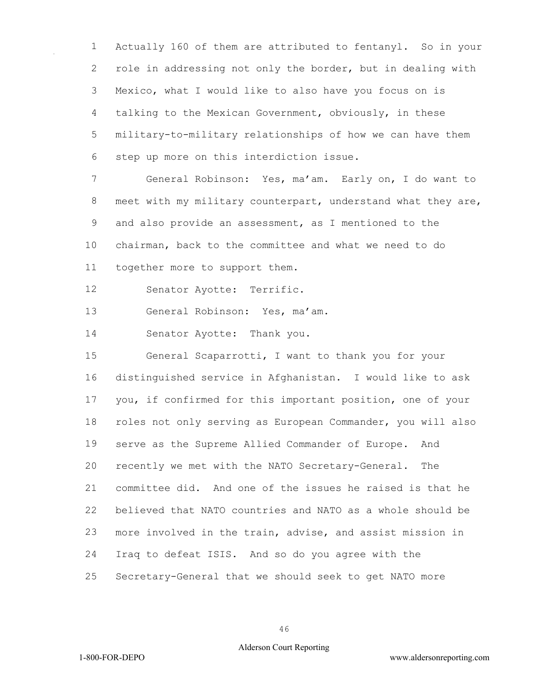Actually 160 of them are attributed to fentanyl. So in your role in addressing not only the border, but in dealing with Mexico, what I would like to also have you focus on is talking to the Mexican Government, obviously, in these military-to-military relationships of how we can have them step up more on this interdiction issue.

 General Robinson: Yes, ma'am. Early on, I do want to 8 meet with my military counterpart, understand what they are, and also provide an assessment, as I mentioned to the chairman, back to the committee and what we need to do together more to support them.

Senator Ayotte: Terrific.

General Robinson: Yes, ma'am.

Senator Ayotte: Thank you.

 General Scaparrotti, I want to thank you for your distinguished service in Afghanistan. I would like to ask you, if confirmed for this important position, one of your roles not only serving as European Commander, you will also serve as the Supreme Allied Commander of Europe. And recently we met with the NATO Secretary-General. The committee did. And one of the issues he raised is that he believed that NATO countries and NATO as a whole should be more involved in the train, advise, and assist mission in Iraq to defeat ISIS. And so do you agree with the Secretary-General that we should seek to get NATO more

### Alderson Court Reporting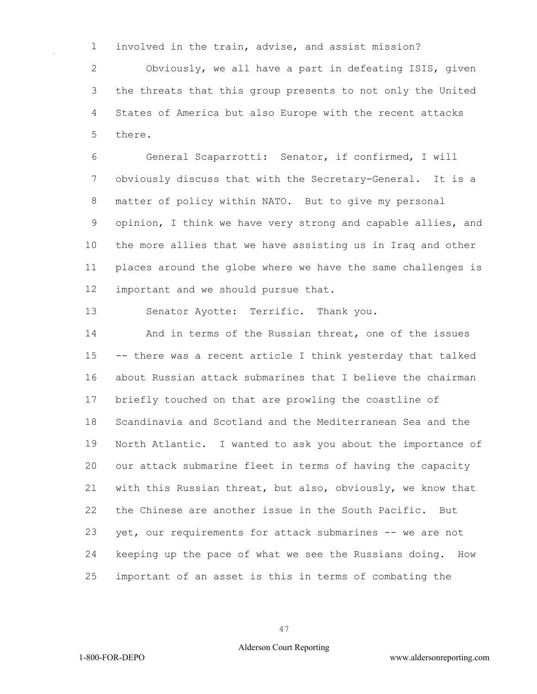involved in the train, advise, and assist mission?

 Obviously, we all have a part in defeating ISIS, given the threats that this group presents to not only the United States of America but also Europe with the recent attacks there.

 General Scaparrotti: Senator, if confirmed, I will obviously discuss that with the Secretary-General. It is a matter of policy within NATO. But to give my personal opinion, I think we have very strong and capable allies, and the more allies that we have assisting us in Iraq and other places around the globe where we have the same challenges is important and we should pursue that.

Senator Ayotte: Terrific. Thank you.

 And in terms of the Russian threat, one of the issues -- there was a recent article I think yesterday that talked about Russian attack submarines that I believe the chairman briefly touched on that are prowling the coastline of Scandinavia and Scotland and the Mediterranean Sea and the North Atlantic. I wanted to ask you about the importance of our attack submarine fleet in terms of having the capacity with this Russian threat, but also, obviously, we know that the Chinese are another issue in the South Pacific. But yet, our requirements for attack submarines -- we are not keeping up the pace of what we see the Russians doing. How important of an asset is this in terms of combating the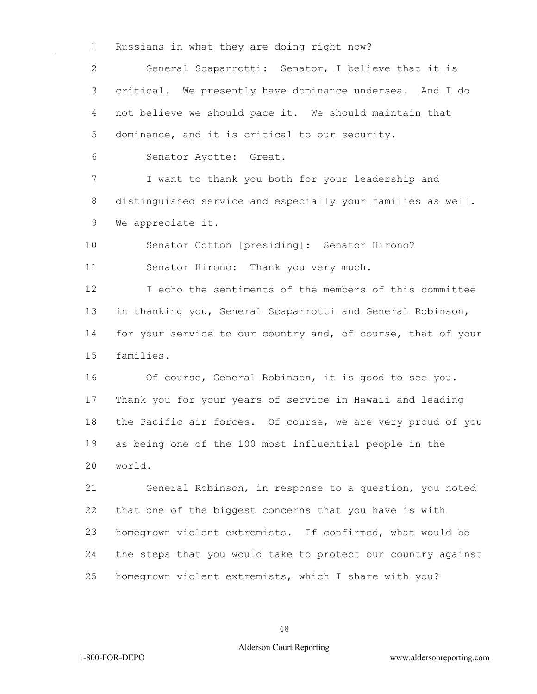Russians in what they are doing right now?

 General Scaparrotti: Senator, I believe that it is critical. We presently have dominance undersea. And I do not believe we should pace it. We should maintain that dominance, and it is critical to our security.

Senator Ayotte: Great.

 I want to thank you both for your leadership and distinguished service and especially your families as well. We appreciate it.

 Senator Cotton [presiding]: Senator Hirono? Senator Hirono: Thank you very much.

 I echo the sentiments of the members of this committee in thanking you, General Scaparrotti and General Robinson, for your service to our country and, of course, that of your families.

16 Of course, General Robinson, it is good to see you. Thank you for your years of service in Hawaii and leading the Pacific air forces. Of course, we are very proud of you as being one of the 100 most influential people in the world.

 General Robinson, in response to a question, you noted that one of the biggest concerns that you have is with homegrown violent extremists. If confirmed, what would be the steps that you would take to protect our country against homegrown violent extremists, which I share with you?

### Alderson Court Reporting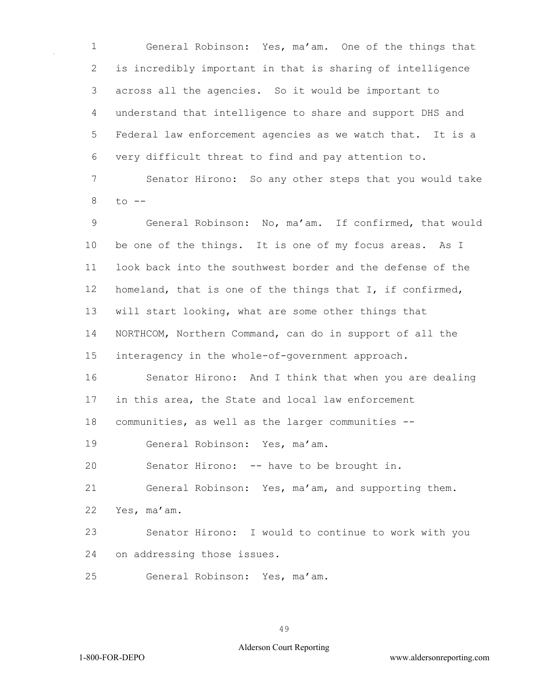General Robinson: Yes, ma'am. One of the things that is incredibly important in that is sharing of intelligence across all the agencies. So it would be important to understand that intelligence to share and support DHS and Federal law enforcement agencies as we watch that. It is a very difficult threat to find and pay attention to.

 Senator Hirono: So any other steps that you would take to  $-$ 

 General Robinson: No, ma'am. If confirmed, that would be one of the things. It is one of my focus areas. As I look back into the southwest border and the defense of the homeland, that is one of the things that I, if confirmed, will start looking, what are some other things that NORTHCOM, Northern Command, can do in support of all the interagency in the whole-of-government approach.

 Senator Hirono: And I think that when you are dealing in this area, the State and local law enforcement

communities, as well as the larger communities --

General Robinson: Yes, ma'am.

Senator Hirono: -- have to be brought in.

General Robinson: Yes, ma'am, and supporting them.

Yes, ma'am.

 Senator Hirono: I would to continue to work with you on addressing those issues.

General Robinson: Yes, ma'am.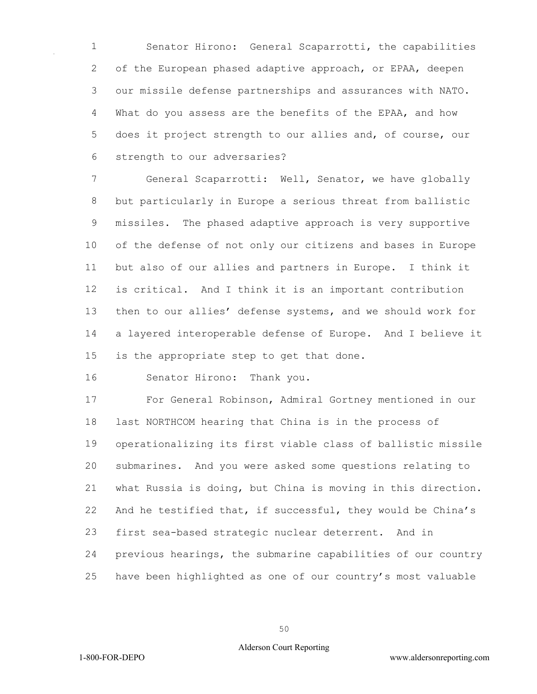Senator Hirono: General Scaparrotti, the capabilities of the European phased adaptive approach, or EPAA, deepen our missile defense partnerships and assurances with NATO. What do you assess are the benefits of the EPAA, and how does it project strength to our allies and, of course, our strength to our adversaries?

 General Scaparrotti: Well, Senator, we have globally but particularly in Europe a serious threat from ballistic missiles. The phased adaptive approach is very supportive of the defense of not only our citizens and bases in Europe but also of our allies and partners in Europe. I think it is critical. And I think it is an important contribution then to our allies' defense systems, and we should work for a layered interoperable defense of Europe. And I believe it is the appropriate step to get that done.

Senator Hirono: Thank you.

 For General Robinson, Admiral Gortney mentioned in our last NORTHCOM hearing that China is in the process of operationalizing its first viable class of ballistic missile submarines. And you were asked some questions relating to what Russia is doing, but China is moving in this direction. And he testified that, if successful, they would be China's first sea-based strategic nuclear deterrent. And in previous hearings, the submarine capabilities of our country have been highlighted as one of our country's most valuable

### Alderson Court Reporting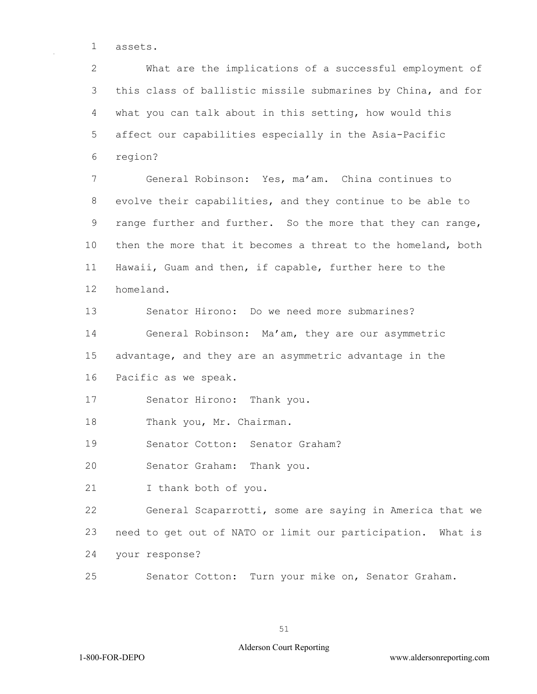assets.

 What are the implications of a successful employment of this class of ballistic missile submarines by China, and for what you can talk about in this setting, how would this affect our capabilities especially in the Asia-Pacific region?

 General Robinson: Yes, ma'am. China continues to evolve their capabilities, and they continue to be able to 9 range further and further. So the more that they can range, then the more that it becomes a threat to the homeland, both Hawaii, Guam and then, if capable, further here to the homeland.

 Senator Hirono: Do we need more submarines? General Robinson: Ma'am, they are our asymmetric advantage, and they are an asymmetric advantage in the Pacific as we speak.

Senator Hirono: Thank you.

Thank you, Mr. Chairman.

Senator Cotton: Senator Graham?

Senator Graham: Thank you.

I thank both of you.

 General Scaparrotti, some are saying in America that we need to get out of NATO or limit our participation. What is your response?

Senator Cotton: Turn your mike on, Senator Graham.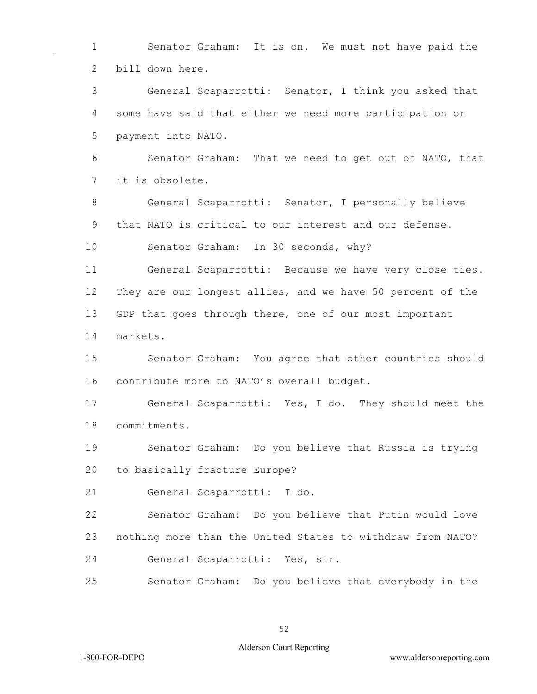1 Senator Graham: It is on. We must not have paid the 2 bill down here.

3 General Scaparrotti: Senator, I think you asked that 4 some have said that either we need more participation or 5 payment into NATO.

6 Senator Graham: That we need to get out of NATO, that 7 it is obsolete.

8 General Scaparrotti: Senator, I personally believe 9 that NATO is critical to our interest and our defense.

10 Senator Graham: In 30 seconds, why?

11 General Scaparrotti: Because we have very close ties. 12 They are our longest allies, and we have 50 percent of the 13 GDP that goes through there, one of our most important 14 markets.

15 Senator Graham: You agree that other countries should 16 contribute more to NATO's overall budget.

17 General Scaparrotti: Yes, I do. They should meet the 18 commitments.

19 Senator Graham: Do you believe that Russia is trying 20 to basically fracture Europe?

21 General Scaparrotti: I do.

22 Senator Graham: Do you believe that Putin would love 23 nothing more than the United States to withdraw from NATO? 24 General Scaparrotti: Yes, sir.

25 Senator Graham: Do you believe that everybody in the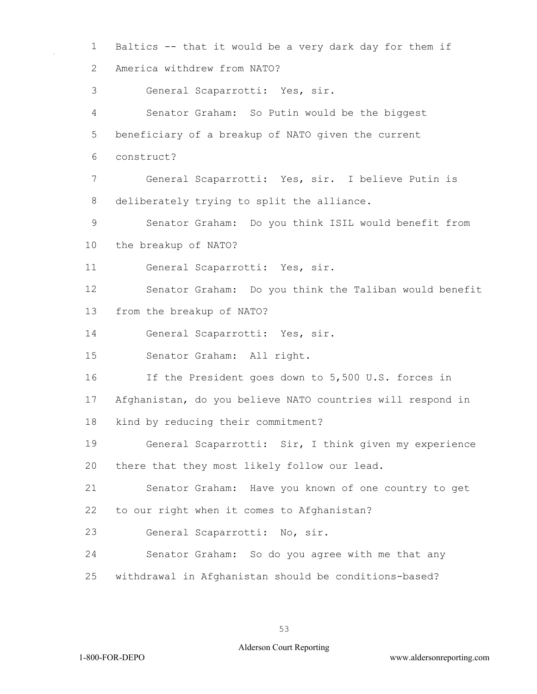Baltics -- that it would be a very dark day for them if America withdrew from NATO? General Scaparrotti: Yes, sir. Senator Graham: So Putin would be the biggest beneficiary of a breakup of NATO given the current construct? General Scaparrotti: Yes, sir. I believe Putin is deliberately trying to split the alliance. Senator Graham: Do you think ISIL would benefit from the breakup of NATO? General Scaparrotti: Yes, sir. Senator Graham: Do you think the Taliban would benefit from the breakup of NATO? General Scaparrotti: Yes, sir. Senator Graham: All right. If the President goes down to 5,500 U.S. forces in Afghanistan, do you believe NATO countries will respond in kind by reducing their commitment? General Scaparrotti: Sir, I think given my experience there that they most likely follow our lead. Senator Graham: Have you known of one country to get to our right when it comes to Afghanistan? General Scaparrotti: No, sir. Senator Graham: So do you agree with me that any withdrawal in Afghanistan should be conditions-based?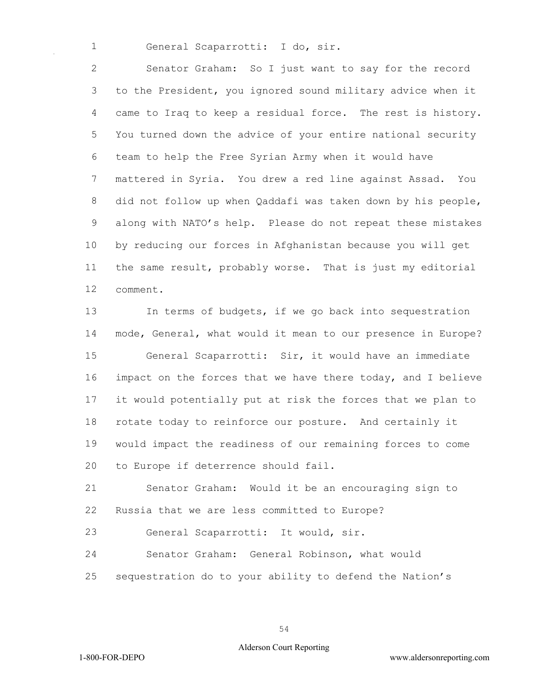General Scaparrotti: I do, sir.

 Senator Graham: So I just want to say for the record to the President, you ignored sound military advice when it came to Iraq to keep a residual force. The rest is history. You turned down the advice of your entire national security team to help the Free Syrian Army when it would have mattered in Syria. You drew a red line against Assad. You did not follow up when Qaddafi was taken down by his people, along with NATO's help. Please do not repeat these mistakes by reducing our forces in Afghanistan because you will get the same result, probably worse. That is just my editorial comment.

 In terms of budgets, if we go back into sequestration mode, General, what would it mean to our presence in Europe? General Scaparrotti: Sir, it would have an immediate impact on the forces that we have there today, and I believe it would potentially put at risk the forces that we plan to rotate today to reinforce our posture. And certainly it would impact the readiness of our remaining forces to come to Europe if deterrence should fail.

 Senator Graham: Would it be an encouraging sign to Russia that we are less committed to Europe?

General Scaparrotti: It would, sir.

Senator Graham: General Robinson, what would

sequestration do to your ability to defend the Nation's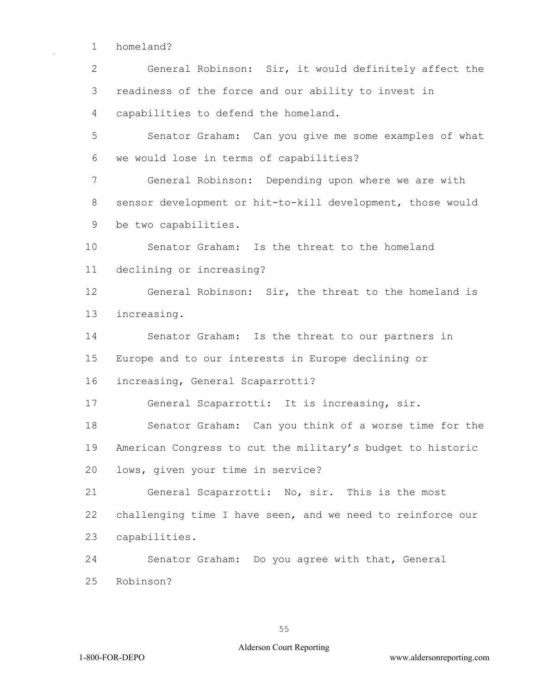1 homeland?

2 General Robinson: Sir, it would definitely affect the 3 readiness of the force and our ability to invest in 4 capabilities to defend the homeland.

5 Senator Graham: Can you give me some examples of what 6 we would lose in terms of capabilities?

7 General Robinson: Depending upon where we are with 8 sensor development or hit-to-kill development, those would 9 be two capabilities.

10 Senator Graham: Is the threat to the homeland 11 declining or increasing?

12 General Robinson: Sir, the threat to the homeland is 13 increasing.

14 Senator Graham: Is the threat to our partners in 15 Europe and to our interests in Europe declining or

16 increasing, General Scaparrotti?

17 General Scaparrotti: It is increasing, sir.

18 Senator Graham: Can you think of a worse time for the 19 American Congress to cut the military's budget to historic 20 lows, given your time in service?

21 General Scaparrotti: No, sir. This is the most 22 challenging time I have seen, and we need to reinforce our 23 capabilities.

24 Senator Graham: Do you agree with that, General 25 Robinson?

55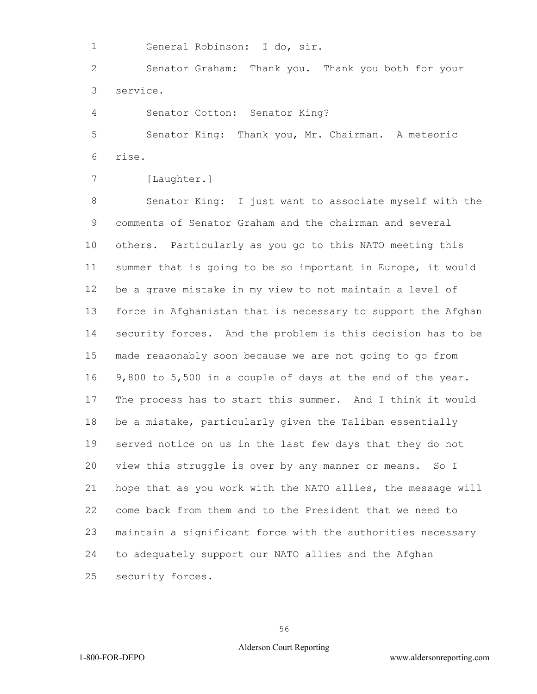General Robinson: I do, sir.

 Senator Graham: Thank you. Thank you both for your service.

Senator Cotton: Senator King?

 Senator King: Thank you, Mr. Chairman. A meteoric rise.

```
7 [Laughter.]
```
 Senator King: I just want to associate myself with the comments of Senator Graham and the chairman and several others. Particularly as you go to this NATO meeting this summer that is going to be so important in Europe, it would be a grave mistake in my view to not maintain a level of force in Afghanistan that is necessary to support the Afghan security forces. And the problem is this decision has to be made reasonably soon because we are not going to go from 9,800 to 5,500 in a couple of days at the end of the year. The process has to start this summer. And I think it would be a mistake, particularly given the Taliban essentially served notice on us in the last few days that they do not view this struggle is over by any manner or means. So I hope that as you work with the NATO allies, the message will come back from them and to the President that we need to maintain a significant force with the authorities necessary to adequately support our NATO allies and the Afghan security forces.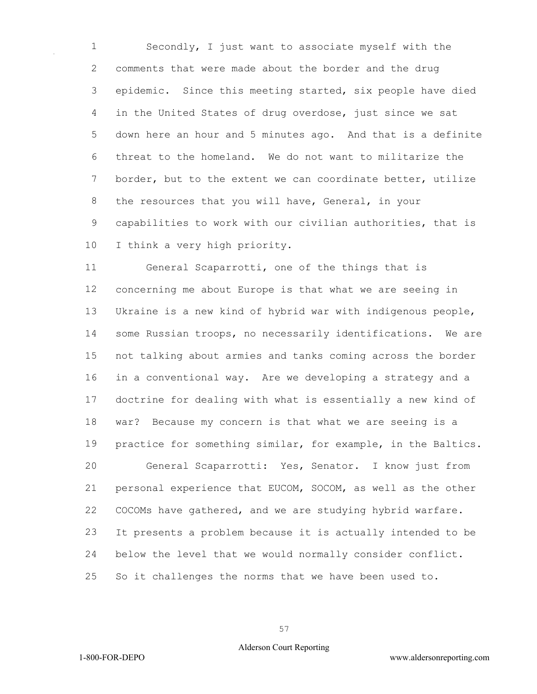Secondly, I just want to associate myself with the comments that were made about the border and the drug epidemic. Since this meeting started, six people have died in the United States of drug overdose, just since we sat down here an hour and 5 minutes ago. And that is a definite threat to the homeland. We do not want to militarize the border, but to the extent we can coordinate better, utilize the resources that you will have, General, in your capabilities to work with our civilian authorities, that is I think a very high priority.

 General Scaparrotti, one of the things that is concerning me about Europe is that what we are seeing in Ukraine is a new kind of hybrid war with indigenous people, some Russian troops, no necessarily identifications. We are not talking about armies and tanks coming across the border in a conventional way. Are we developing a strategy and a doctrine for dealing with what is essentially a new kind of war? Because my concern is that what we are seeing is a practice for something similar, for example, in the Baltics. General Scaparrotti: Yes, Senator. I know just from personal experience that EUCOM, SOCOM, as well as the other COCOMs have gathered, and we are studying hybrid warfare. It presents a problem because it is actually intended to be below the level that we would normally consider conflict. So it challenges the norms that we have been used to.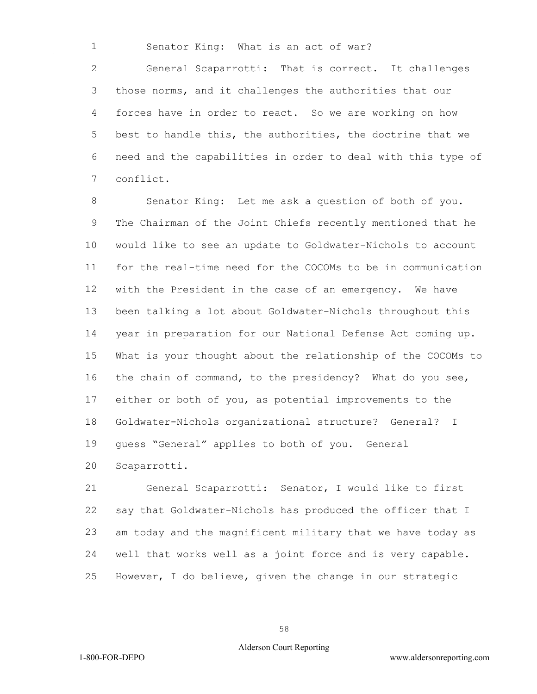Senator King: What is an act of war?

 General Scaparrotti: That is correct. It challenges those norms, and it challenges the authorities that our forces have in order to react. So we are working on how best to handle this, the authorities, the doctrine that we need and the capabilities in order to deal with this type of conflict.

 Senator King: Let me ask a question of both of you. The Chairman of the Joint Chiefs recently mentioned that he would like to see an update to Goldwater-Nichols to account for the real-time need for the COCOMs to be in communication with the President in the case of an emergency. We have been talking a lot about Goldwater-Nichols throughout this year in preparation for our National Defense Act coming up. What is your thought about the relationship of the COCOMs to the chain of command, to the presidency? What do you see, either or both of you, as potential improvements to the Goldwater-Nichols organizational structure? General? I guess "General" applies to both of you. General Scaparrotti.

 General Scaparrotti: Senator, I would like to first say that Goldwater-Nichols has produced the officer that I am today and the magnificent military that we have today as well that works well as a joint force and is very capable. However, I do believe, given the change in our strategic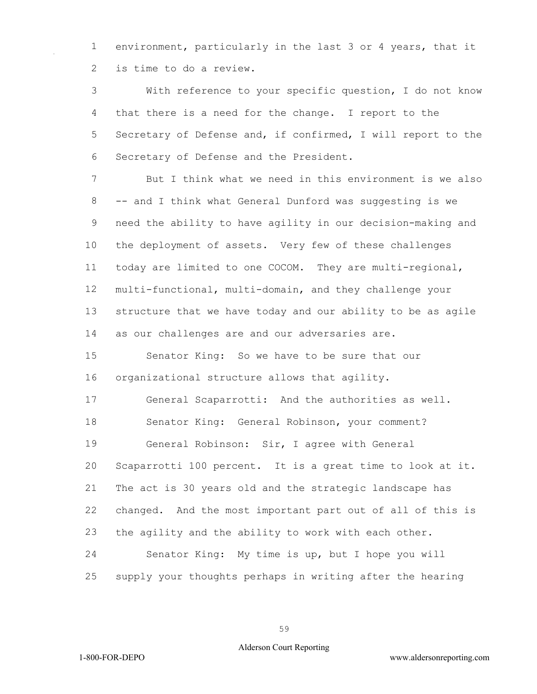environment, particularly in the last 3 or 4 years, that it is time to do a review.

 With reference to your specific question, I do not know that there is a need for the change. I report to the Secretary of Defense and, if confirmed, I will report to the Secretary of Defense and the President.

 But I think what we need in this environment is we also -- and I think what General Dunford was suggesting is we need the ability to have agility in our decision-making and the deployment of assets. Very few of these challenges today are limited to one COCOM. They are multi-regional, multi-functional, multi-domain, and they challenge your structure that we have today and our ability to be as agile as our challenges are and our adversaries are.

 Senator King: So we have to be sure that our organizational structure allows that agility.

 General Scaparrotti: And the authorities as well. Senator King: General Robinson, your comment? General Robinson: Sir, I agree with General Scaparrotti 100 percent. It is a great time to look at it. The act is 30 years old and the strategic landscape has changed. And the most important part out of all of this is the agility and the ability to work with each other. Senator King: My time is up, but I hope you will supply your thoughts perhaps in writing after the hearing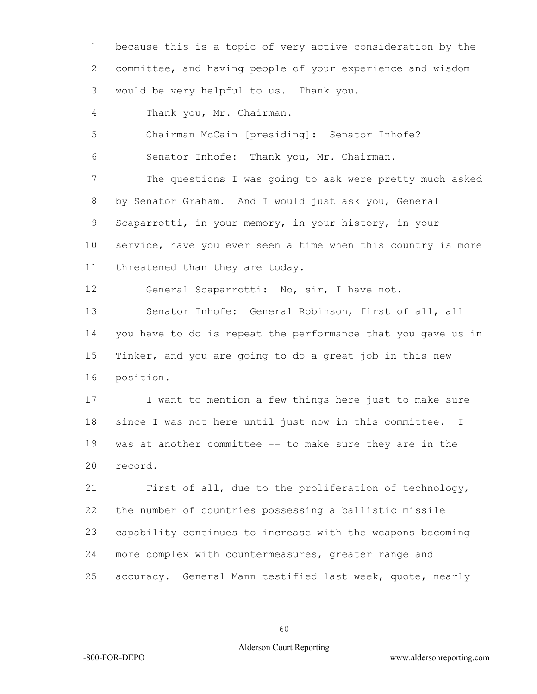because this is a topic of very active consideration by the committee, and having people of your experience and wisdom would be very helpful to us. Thank you.

Thank you, Mr. Chairman.

Chairman McCain [presiding]: Senator Inhofe?

Senator Inhofe: Thank you, Mr. Chairman.

 The questions I was going to ask were pretty much asked by Senator Graham. And I would just ask you, General Scaparrotti, in your memory, in your history, in your service, have you ever seen a time when this country is more threatened than they are today.

General Scaparrotti: No, sir, I have not.

 Senator Inhofe: General Robinson, first of all, all you have to do is repeat the performance that you gave us in Tinker, and you are going to do a great job in this new position.

 I want to mention a few things here just to make sure since I was not here until just now in this committee. I was at another committee -- to make sure they are in the record.

 First of all, due to the proliferation of technology, the number of countries possessing a ballistic missile capability continues to increase with the weapons becoming more complex with countermeasures, greater range and accuracy. General Mann testified last week, quote, nearly

### Alderson Court Reporting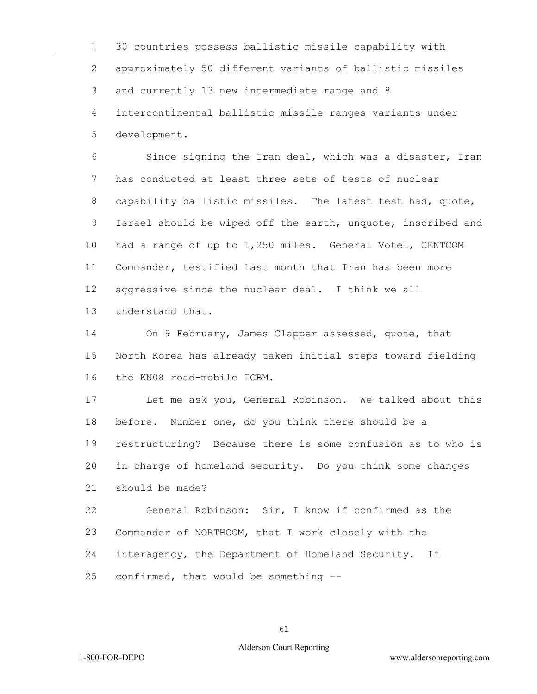30 countries possess ballistic missile capability with approximately 50 different variants of ballistic missiles and currently 13 new intermediate range and 8 intercontinental ballistic missile ranges variants under development.

 Since signing the Iran deal, which was a disaster, Iran has conducted at least three sets of tests of nuclear capability ballistic missiles. The latest test had, quote, Israel should be wiped off the earth, unquote, inscribed and had a range of up to 1,250 miles. General Votel, CENTCOM Commander, testified last month that Iran has been more aggressive since the nuclear deal. I think we all understand that.

 On 9 February, James Clapper assessed, quote, that North Korea has already taken initial steps toward fielding the KN08 road-mobile ICBM.

 Let me ask you, General Robinson. We talked about this before. Number one, do you think there should be a restructuring? Because there is some confusion as to who is in charge of homeland security. Do you think some changes should be made?

 General Robinson: Sir, I know if confirmed as the Commander of NORTHCOM, that I work closely with the interagency, the Department of Homeland Security. If confirmed, that would be something --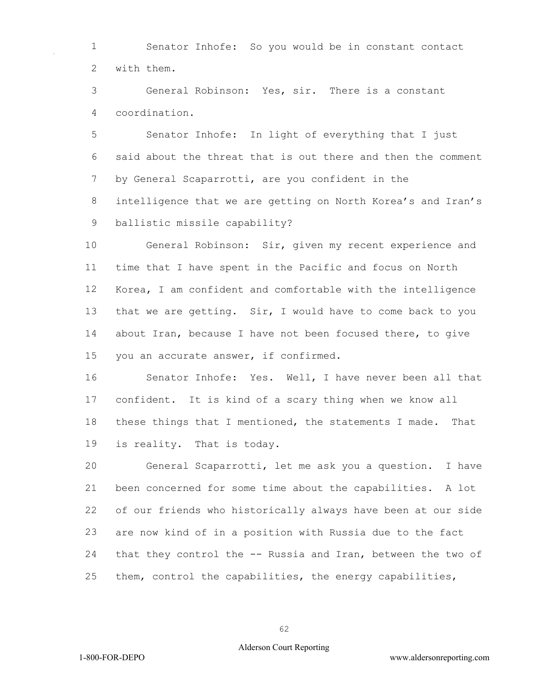Senator Inhofe: So you would be in constant contact with them.

 General Robinson: Yes, sir. There is a constant coordination.

 Senator Inhofe: In light of everything that I just said about the threat that is out there and then the comment by General Scaparrotti, are you confident in the intelligence that we are getting on North Korea's and Iran's ballistic missile capability?

 General Robinson: Sir, given my recent experience and time that I have spent in the Pacific and focus on North Korea, I am confident and comfortable with the intelligence that we are getting. Sir, I would have to come back to you about Iran, because I have not been focused there, to give you an accurate answer, if confirmed.

 Senator Inhofe: Yes. Well, I have never been all that confident. It is kind of a scary thing when we know all 18 these things that I mentioned, the statements I made. That is reality. That is today.

 General Scaparrotti, let me ask you a question. I have been concerned for some time about the capabilities. A lot of our friends who historically always have been at our side are now kind of in a position with Russia due to the fact that they control the -- Russia and Iran, between the two of them, control the capabilities, the energy capabilities,

## Alderson Court Reporting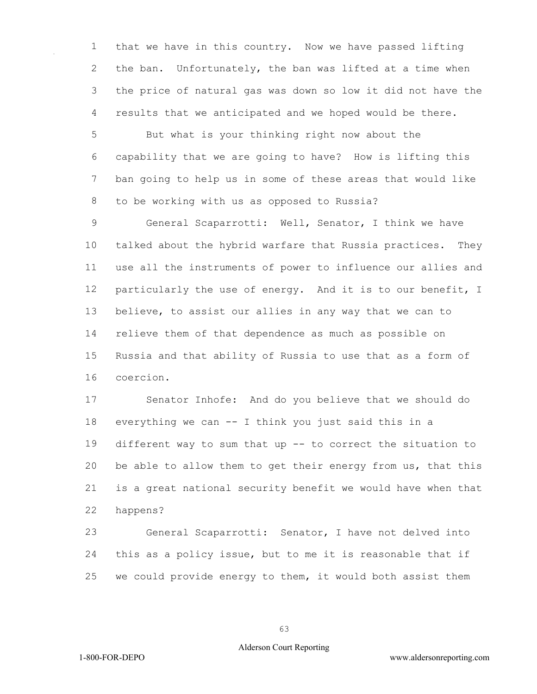that we have in this country. Now we have passed lifting the ban. Unfortunately, the ban was lifted at a time when the price of natural gas was down so low it did not have the results that we anticipated and we hoped would be there.

 But what is your thinking right now about the capability that we are going to have? How is lifting this ban going to help us in some of these areas that would like to be working with us as opposed to Russia?

 General Scaparrotti: Well, Senator, I think we have talked about the hybrid warfare that Russia practices. They use all the instruments of power to influence our allies and 12 particularly the use of energy. And it is to our benefit, I believe, to assist our allies in any way that we can to relieve them of that dependence as much as possible on Russia and that ability of Russia to use that as a form of coercion.

 Senator Inhofe: And do you believe that we should do everything we can -- I think you just said this in a different way to sum that up -- to correct the situation to be able to allow them to get their energy from us, that this is a great national security benefit we would have when that happens?

 General Scaparrotti: Senator, I have not delved into this as a policy issue, but to me it is reasonable that if we could provide energy to them, it would both assist them

### Alderson Court Reporting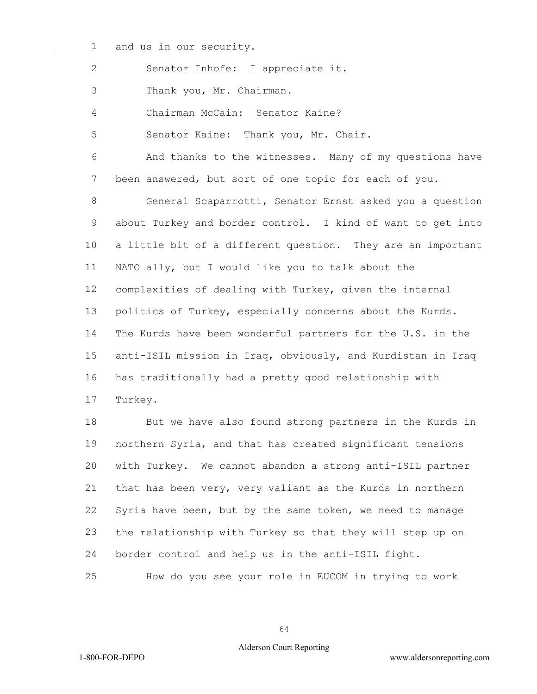and us in our security.

Senator Inhofe: I appreciate it.

Thank you, Mr. Chairman.

Chairman McCain: Senator Kaine?

Senator Kaine: Thank you, Mr. Chair.

 And thanks to the witnesses. Many of my questions have been answered, but sort of one topic for each of you.

 General Scaparrotti, Senator Ernst asked you a question about Turkey and border control. I kind of want to get into a little bit of a different question. They are an important NATO ally, but I would like you to talk about the complexities of dealing with Turkey, given the internal politics of Turkey, especially concerns about the Kurds. The Kurds have been wonderful partners for the U.S. in the anti-ISIL mission in Iraq, obviously, and Kurdistan in Iraq has traditionally had a pretty good relationship with Turkey.

 But we have also found strong partners in the Kurds in northern Syria, and that has created significant tensions with Turkey. We cannot abandon a strong anti-ISIL partner that has been very, very valiant as the Kurds in northern Syria have been, but by the same token, we need to manage the relationship with Turkey so that they will step up on border control and help us in the anti-ISIL fight.

How do you see your role in EUCOM in trying to work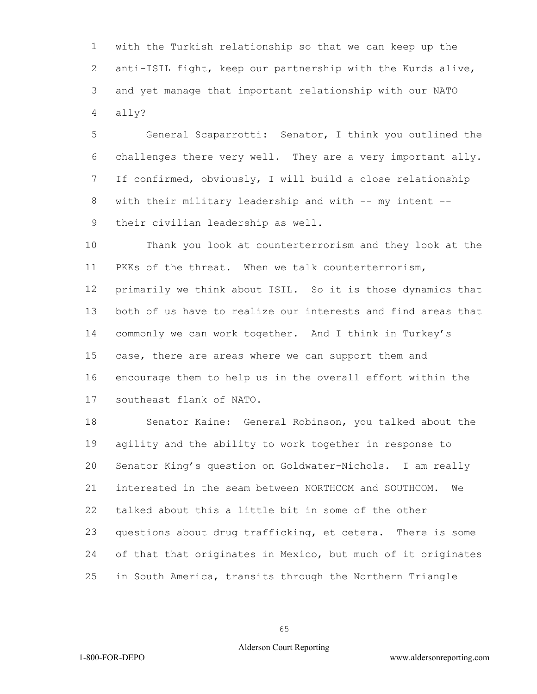with the Turkish relationship so that we can keep up the 2 anti-ISIL fight, keep our partnership with the Kurds alive, and yet manage that important relationship with our NATO ally?

 General Scaparrotti: Senator, I think you outlined the challenges there very well. They are a very important ally. If confirmed, obviously, I will build a close relationship 8 with their military leadership and with -- my intent --their civilian leadership as well.

 Thank you look at counterterrorism and they look at the PKKs of the threat. When we talk counterterrorism, primarily we think about ISIL. So it is those dynamics that both of us have to realize our interests and find areas that commonly we can work together. And I think in Turkey's case, there are areas where we can support them and encourage them to help us in the overall effort within the southeast flank of NATO.

 Senator Kaine: General Robinson, you talked about the agility and the ability to work together in response to Senator King's question on Goldwater-Nichols. I am really interested in the seam between NORTHCOM and SOUTHCOM. We talked about this a little bit in some of the other questions about drug trafficking, et cetera. There is some of that that originates in Mexico, but much of it originates in South America, transits through the Northern Triangle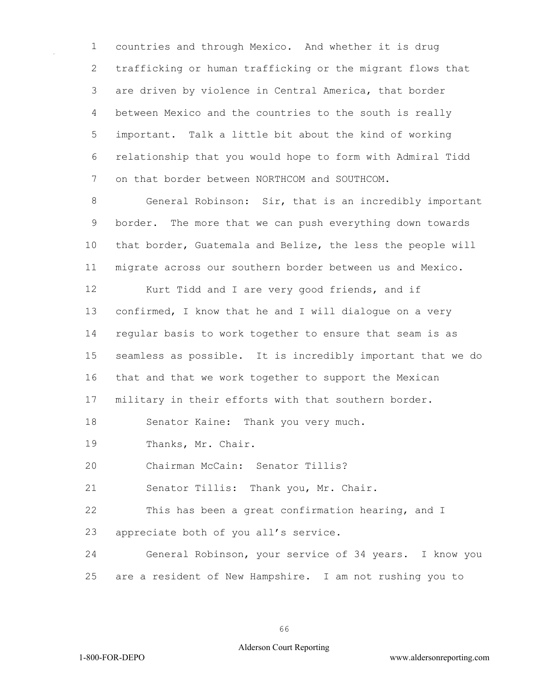countries and through Mexico. And whether it is drug trafficking or human trafficking or the migrant flows that are driven by violence in Central America, that border between Mexico and the countries to the south is really important. Talk a little bit about the kind of working relationship that you would hope to form with Admiral Tidd on that border between NORTHCOM and SOUTHCOM.

 General Robinson: Sir, that is an incredibly important border. The more that we can push everything down towards that border, Guatemala and Belize, the less the people will migrate across our southern border between us and Mexico.

 Kurt Tidd and I are very good friends, and if confirmed, I know that he and I will dialogue on a very regular basis to work together to ensure that seam is as seamless as possible. It is incredibly important that we do that and that we work together to support the Mexican

military in their efforts with that southern border.

Senator Kaine: Thank you very much.

Thanks, Mr. Chair.

Chairman McCain: Senator Tillis?

Senator Tillis: Thank you, Mr. Chair.

This has been a great confirmation hearing, and I

appreciate both of you all's service.

 General Robinson, your service of 34 years. I know you are a resident of New Hampshire. I am not rushing you to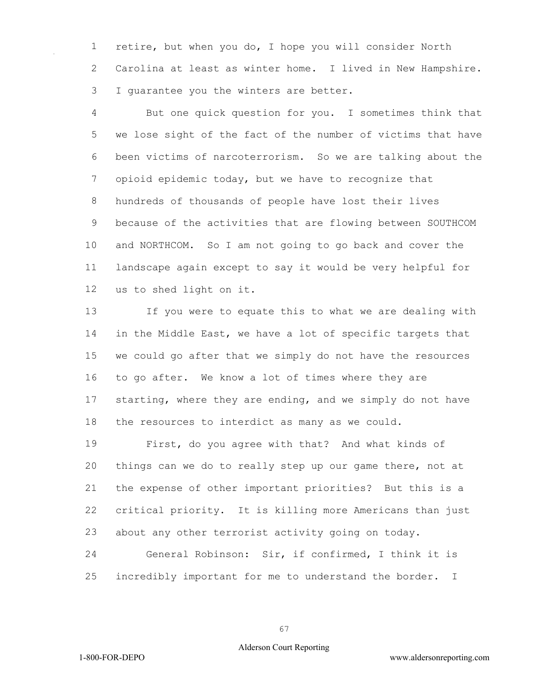retire, but when you do, I hope you will consider North Carolina at least as winter home. I lived in New Hampshire. I guarantee you the winters are better.

 But one quick question for you. I sometimes think that we lose sight of the fact of the number of victims that have been victims of narcoterrorism. So we are talking about the opioid epidemic today, but we have to recognize that hundreds of thousands of people have lost their lives because of the activities that are flowing between SOUTHCOM and NORTHCOM. So I am not going to go back and cover the landscape again except to say it would be very helpful for us to shed light on it.

 If you were to equate this to what we are dealing with in the Middle East, we have a lot of specific targets that we could go after that we simply do not have the resources to go after. We know a lot of times where they are starting, where they are ending, and we simply do not have the resources to interdict as many as we could.

 First, do you agree with that? And what kinds of things can we do to really step up our game there, not at the expense of other important priorities? But this is a critical priority. It is killing more Americans than just about any other terrorist activity going on today.

 General Robinson: Sir, if confirmed, I think it is incredibly important for me to understand the border. I

### Alderson Court Reporting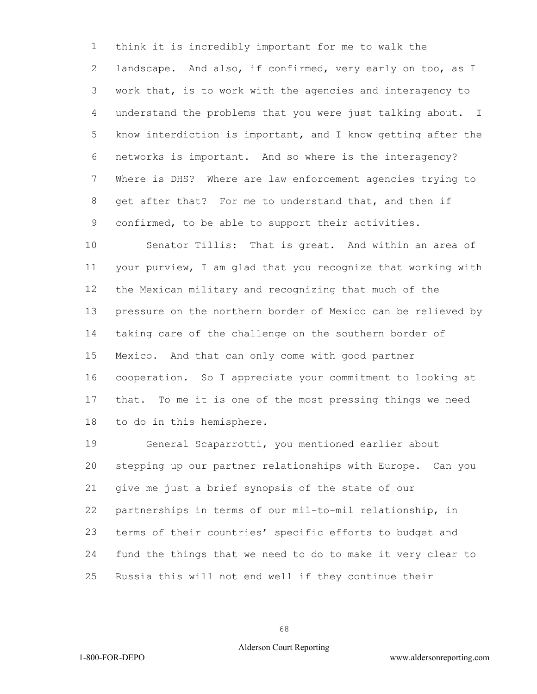think it is incredibly important for me to walk the landscape. And also, if confirmed, very early on too, as I work that, is to work with the agencies and interagency to understand the problems that you were just talking about. I know interdiction is important, and I know getting after the networks is important. And so where is the interagency? Where is DHS? Where are law enforcement agencies trying to get after that? For me to understand that, and then if confirmed, to be able to support their activities.

 Senator Tillis: That is great. And within an area of your purview, I am glad that you recognize that working with the Mexican military and recognizing that much of the pressure on the northern border of Mexico can be relieved by taking care of the challenge on the southern border of Mexico. And that can only come with good partner cooperation. So I appreciate your commitment to looking at that. To me it is one of the most pressing things we need to do in this hemisphere.

 General Scaparrotti, you mentioned earlier about stepping up our partner relationships with Europe. Can you give me just a brief synopsis of the state of our partnerships in terms of our mil-to-mil relationship, in terms of their countries' specific efforts to budget and fund the things that we need to do to make it very clear to Russia this will not end well if they continue their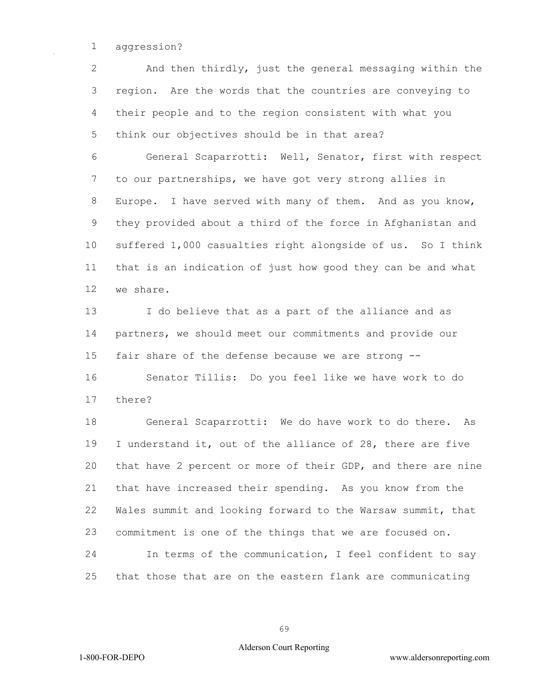# aggression?

 And then thirdly, just the general messaging within the region. Are the words that the countries are conveying to their people and to the region consistent with what you think our objectives should be in that area?

 General Scaparrotti: Well, Senator, first with respect to our partnerships, we have got very strong allies in Europe. I have served with many of them. And as you know, they provided about a third of the force in Afghanistan and suffered 1,000 casualties right alongside of us. So I think that is an indication of just how good they can be and what we share.

 I do believe that as a part of the alliance and as partners, we should meet our commitments and provide our fair share of the defense because we are strong -- Senator Tillis: Do you feel like we have work to do

there?

 General Scaparrotti: We do have work to do there. As I understand it, out of the alliance of 28, there are five that have 2 percent or more of their GDP, and there are nine that have increased their spending. As you know from the Wales summit and looking forward to the Warsaw summit, that commitment is one of the things that we are focused on. In terms of the communication, I feel confident to say that those that are on the eastern flank are communicating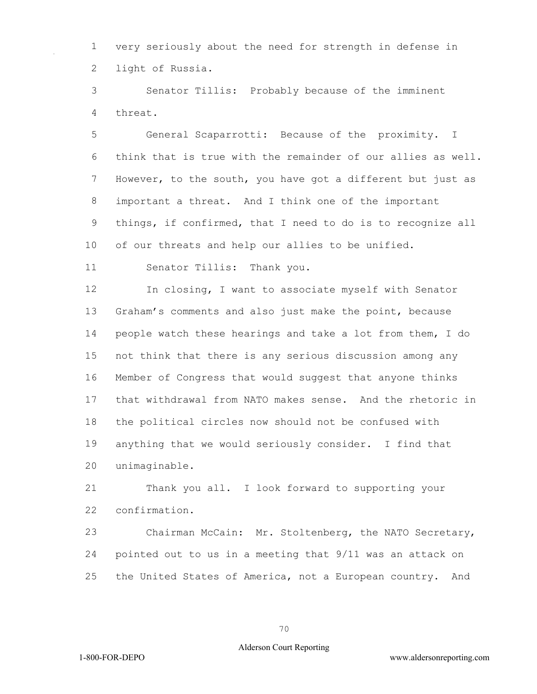very seriously about the need for strength in defense in light of Russia.

 Senator Tillis: Probably because of the imminent threat.

 General Scaparrotti: Because of the proximity. I think that is true with the remainder of our allies as well. However, to the south, you have got a different but just as important a threat. And I think one of the important things, if confirmed, that I need to do is to recognize all of our threats and help our allies to be unified.

Senator Tillis: Thank you.

 In closing, I want to associate myself with Senator Graham's comments and also just make the point, because people watch these hearings and take a lot from them, I do not think that there is any serious discussion among any Member of Congress that would suggest that anyone thinks that withdrawal from NATO makes sense. And the rhetoric in the political circles now should not be confused with anything that we would seriously consider. I find that unimaginable.

 Thank you all. I look forward to supporting your confirmation.

 Chairman McCain: Mr. Stoltenberg, the NATO Secretary, pointed out to us in a meeting that 9/11 was an attack on the United States of America, not a European country. And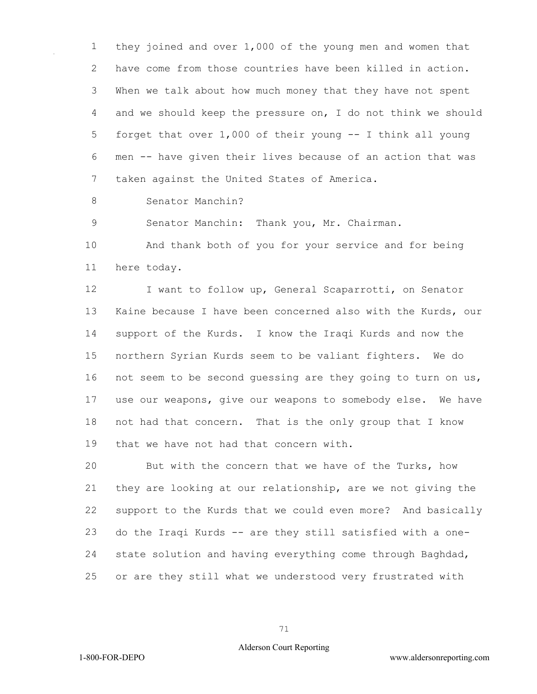they joined and over 1,000 of the young men and women that have come from those countries have been killed in action. When we talk about how much money that they have not spent and we should keep the pressure on, I do not think we should forget that over 1,000 of their young -- I think all young men -- have given their lives because of an action that was taken against the United States of America.

Senator Manchin?

Senator Manchin: Thank you, Mr. Chairman.

 And thank both of you for your service and for being here today.

12 I want to follow up, General Scaparrotti, on Senator Kaine because I have been concerned also with the Kurds, our support of the Kurds. I know the Iraqi Kurds and now the northern Syrian Kurds seem to be valiant fighters. We do not seem to be second guessing are they going to turn on us, use our weapons, give our weapons to somebody else. We have not had that concern. That is the only group that I know that we have not had that concern with.

 But with the concern that we have of the Turks, how they are looking at our relationship, are we not giving the support to the Kurds that we could even more? And basically do the Iraqi Kurds -- are they still satisfied with a one- state solution and having everything come through Baghdad, or are they still what we understood very frustrated with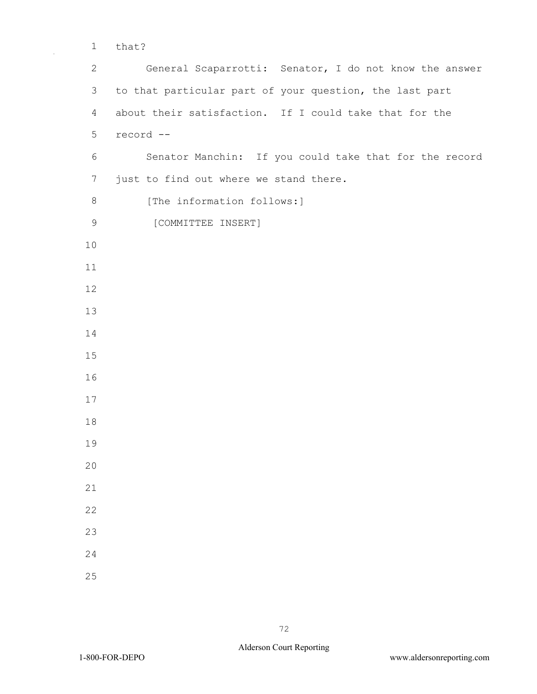that?

 General Scaparrotti: Senator, I do not know the answer to that particular part of your question, the last part about their satisfaction. If I could take that for the record -- Senator Manchin: If you could take that for the record just to find out where we stand there. 8 [The information follows:] [COMMITTEE INSERT]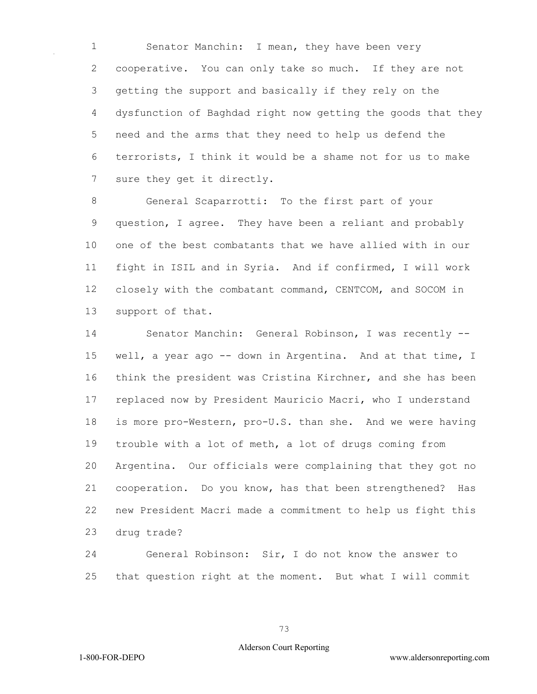Senator Manchin: I mean, they have been very cooperative. You can only take so much. If they are not getting the support and basically if they rely on the dysfunction of Baghdad right now getting the goods that they need and the arms that they need to help us defend the terrorists, I think it would be a shame not for us to make sure they get it directly.

 General Scaparrotti: To the first part of your question, I agree. They have been a reliant and probably one of the best combatants that we have allied with in our fight in ISIL and in Syria. And if confirmed, I will work closely with the combatant command, CENTCOM, and SOCOM in support of that.

 Senator Manchin: General Robinson, I was recently -- 15 well, a year ago -- down in Argentina. And at that time, I think the president was Cristina Kirchner, and she has been replaced now by President Mauricio Macri, who I understand is more pro-Western, pro-U.S. than she. And we were having trouble with a lot of meth, a lot of drugs coming from Argentina. Our officials were complaining that they got no cooperation. Do you know, has that been strengthened? Has new President Macri made a commitment to help us fight this drug trade?

 General Robinson: Sir, I do not know the answer to that question right at the moment. But what I will commit

## Alderson Court Reporting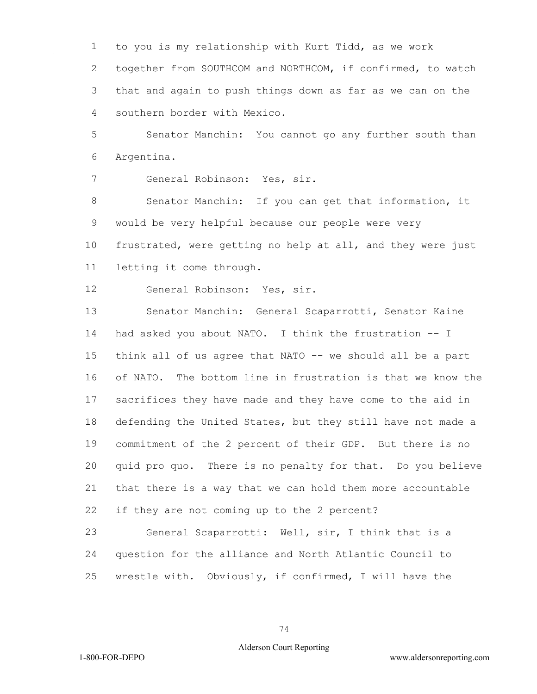to you is my relationship with Kurt Tidd, as we work

 together from SOUTHCOM and NORTHCOM, if confirmed, to watch that and again to push things down as far as we can on the southern border with Mexico.

 Senator Manchin: You cannot go any further south than Argentina.

General Robinson: Yes, sir.

 Senator Manchin: If you can get that information, it would be very helpful because our people were very frustrated, were getting no help at all, and they were just letting it come through.

General Robinson: Yes, sir.

 Senator Manchin: General Scaparrotti, Senator Kaine had asked you about NATO. I think the frustration -- I think all of us agree that NATO -- we should all be a part of NATO. The bottom line in frustration is that we know the sacrifices they have made and they have come to the aid in defending the United States, but they still have not made a commitment of the 2 percent of their GDP. But there is no quid pro quo. There is no penalty for that. Do you believe that there is a way that we can hold them more accountable if they are not coming up to the 2 percent?

 General Scaparrotti: Well, sir, I think that is a question for the alliance and North Atlantic Council to wrestle with. Obviously, if confirmed, I will have the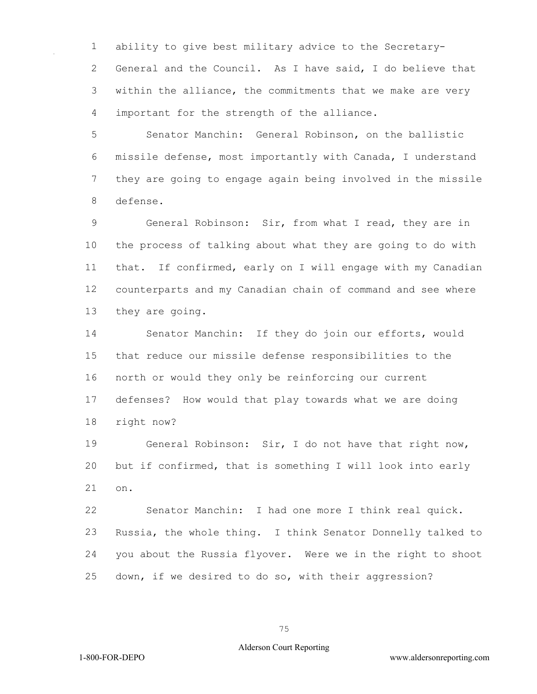ability to give best military advice to the Secretary- General and the Council. As I have said, I do believe that within the alliance, the commitments that we make are very important for the strength of the alliance.

 Senator Manchin: General Robinson, on the ballistic missile defense, most importantly with Canada, I understand they are going to engage again being involved in the missile defense.

 General Robinson: Sir, from what I read, they are in the process of talking about what they are going to do with that. If confirmed, early on I will engage with my Canadian counterparts and my Canadian chain of command and see where they are going.

 Senator Manchin: If they do join our efforts, would that reduce our missile defense responsibilities to the north or would they only be reinforcing our current defenses? How would that play towards what we are doing right now?

 General Robinson: Sir, I do not have that right now, but if confirmed, that is something I will look into early on.

 Senator Manchin: I had one more I think real quick. Russia, the whole thing. I think Senator Donnelly talked to you about the Russia flyover. Were we in the right to shoot down, if we desired to do so, with their aggression?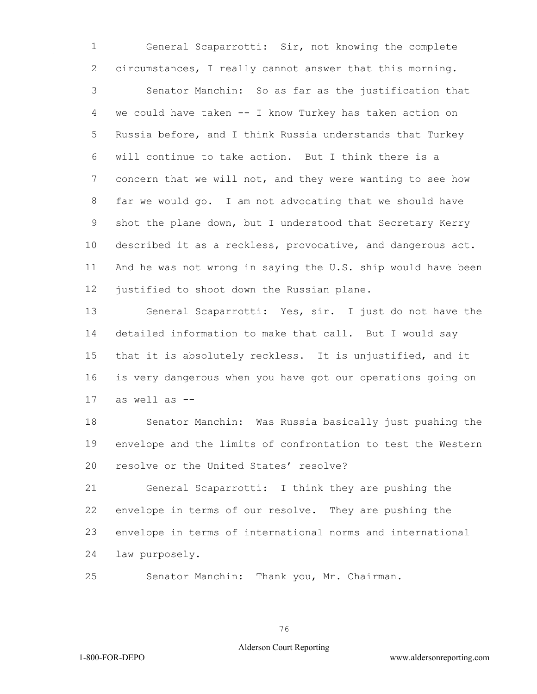General Scaparrotti: Sir, not knowing the complete circumstances, I really cannot answer that this morning.

 Senator Manchin: So as far as the justification that we could have taken -- I know Turkey has taken action on Russia before, and I think Russia understands that Turkey will continue to take action. But I think there is a concern that we will not, and they were wanting to see how far we would go. I am not advocating that we should have shot the plane down, but I understood that Secretary Kerry described it as a reckless, provocative, and dangerous act. And he was not wrong in saying the U.S. ship would have been justified to shoot down the Russian plane.

 General Scaparrotti: Yes, sir. I just do not have the detailed information to make that call. But I would say that it is absolutely reckless. It is unjustified, and it is very dangerous when you have got our operations going on as well as --

 Senator Manchin: Was Russia basically just pushing the envelope and the limits of confrontation to test the Western resolve or the United States' resolve?

 General Scaparrotti: I think they are pushing the envelope in terms of our resolve. They are pushing the envelope in terms of international norms and international law purposely.

Senator Manchin: Thank you, Mr. Chairman.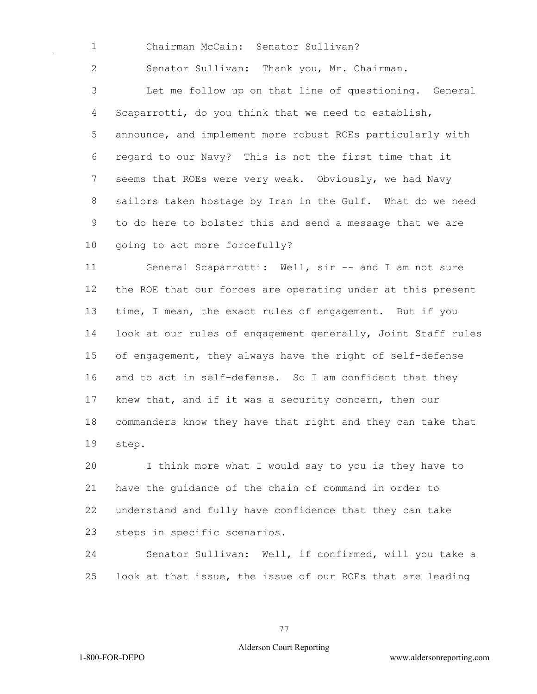Chairman McCain: Senator Sullivan?

Senator Sullivan: Thank you, Mr. Chairman.

 Let me follow up on that line of questioning. General Scaparrotti, do you think that we need to establish, announce, and implement more robust ROEs particularly with regard to our Navy? This is not the first time that it seems that ROEs were very weak. Obviously, we had Navy sailors taken hostage by Iran in the Gulf. What do we need to do here to bolster this and send a message that we are going to act more forcefully?

 General Scaparrotti: Well, sir -- and I am not sure the ROE that our forces are operating under at this present time, I mean, the exact rules of engagement. But if you look at our rules of engagement generally, Joint Staff rules of engagement, they always have the right of self-defense and to act in self-defense. So I am confident that they knew that, and if it was a security concern, then our commanders know they have that right and they can take that step.

 I think more what I would say to you is they have to have the guidance of the chain of command in order to understand and fully have confidence that they can take steps in specific scenarios.

 Senator Sullivan: Well, if confirmed, will you take a look at that issue, the issue of our ROEs that are leading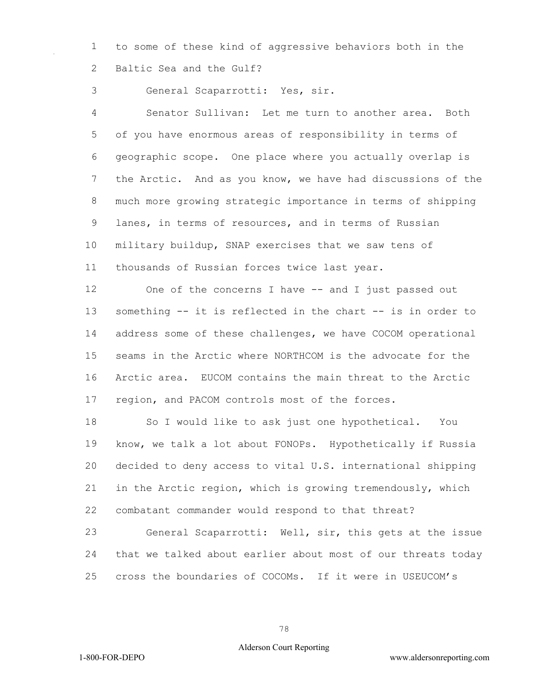to some of these kind of aggressive behaviors both in the Baltic Sea and the Gulf?

General Scaparrotti: Yes, sir.

 Senator Sullivan: Let me turn to another area. Both of you have enormous areas of responsibility in terms of geographic scope. One place where you actually overlap is the Arctic. And as you know, we have had discussions of the much more growing strategic importance in terms of shipping lanes, in terms of resources, and in terms of Russian military buildup, SNAP exercises that we saw tens of thousands of Russian forces twice last year.

 One of the concerns I have -- and I just passed out something -- it is reflected in the chart -- is in order to address some of these challenges, we have COCOM operational seams in the Arctic where NORTHCOM is the advocate for the Arctic area. EUCOM contains the main threat to the Arctic region, and PACOM controls most of the forces.

 So I would like to ask just one hypothetical. You know, we talk a lot about FONOPs. Hypothetically if Russia decided to deny access to vital U.S. international shipping in the Arctic region, which is growing tremendously, which combatant commander would respond to that threat?

 General Scaparrotti: Well, sir, this gets at the issue that we talked about earlier about most of our threats today cross the boundaries of COCOMs. If it were in USEUCOM's

## Alderson Court Reporting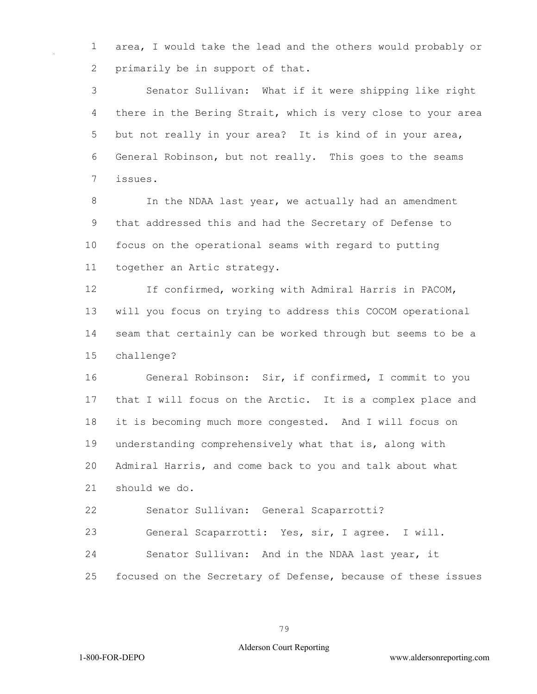area, I would take the lead and the others would probably or primarily be in support of that.

 Senator Sullivan: What if it were shipping like right there in the Bering Strait, which is very close to your area but not really in your area? It is kind of in your area, General Robinson, but not really. This goes to the seams issues.

8 In the NDAA last year, we actually had an amendment that addressed this and had the Secretary of Defense to focus on the operational seams with regard to putting together an Artic strategy.

 If confirmed, working with Admiral Harris in PACOM, will you focus on trying to address this COCOM operational seam that certainly can be worked through but seems to be a challenge?

 General Robinson: Sir, if confirmed, I commit to you that I will focus on the Arctic. It is a complex place and it is becoming much more congested. And I will focus on understanding comprehensively what that is, along with Admiral Harris, and come back to you and talk about what should we do.

Senator Sullivan: General Scaparrotti?

General Scaparrotti: Yes, sir, I agree. I will.

Senator Sullivan: And in the NDAA last year, it

focused on the Secretary of Defense, because of these issues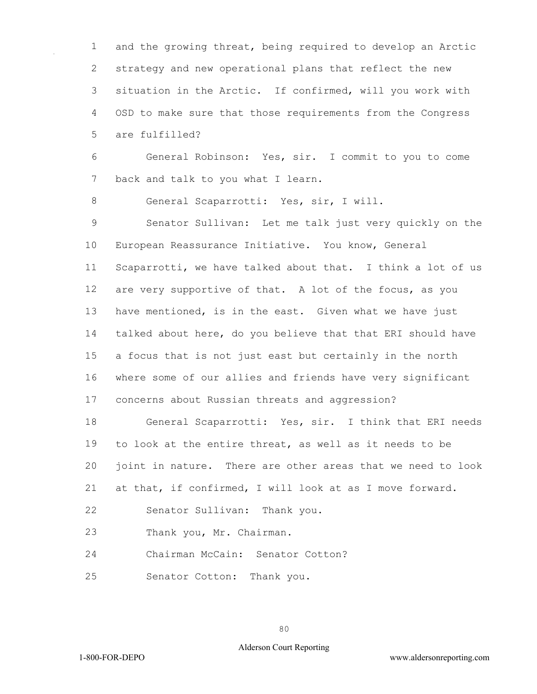and the growing threat, being required to develop an Arctic strategy and new operational plans that reflect the new situation in the Arctic. If confirmed, will you work with OSD to make sure that those requirements from the Congress are fulfilled?

 General Robinson: Yes, sir. I commit to you to come 7 back and talk to you what I learn.

General Scaparrotti: Yes, sir, I will.

 Senator Sullivan: Let me talk just very quickly on the European Reassurance Initiative. You know, General Scaparrotti, we have talked about that. I think a lot of us are very supportive of that. A lot of the focus, as you have mentioned, is in the east. Given what we have just talked about here, do you believe that that ERI should have a focus that is not just east but certainly in the north where some of our allies and friends have very significant concerns about Russian threats and aggression?

 General Scaparrotti: Yes, sir. I think that ERI needs to look at the entire threat, as well as it needs to be joint in nature. There are other areas that we need to look

at that, if confirmed, I will look at as I move forward.

Senator Sullivan: Thank you.

Thank you, Mr. Chairman.

Chairman McCain: Senator Cotton?

Senator Cotton: Thank you.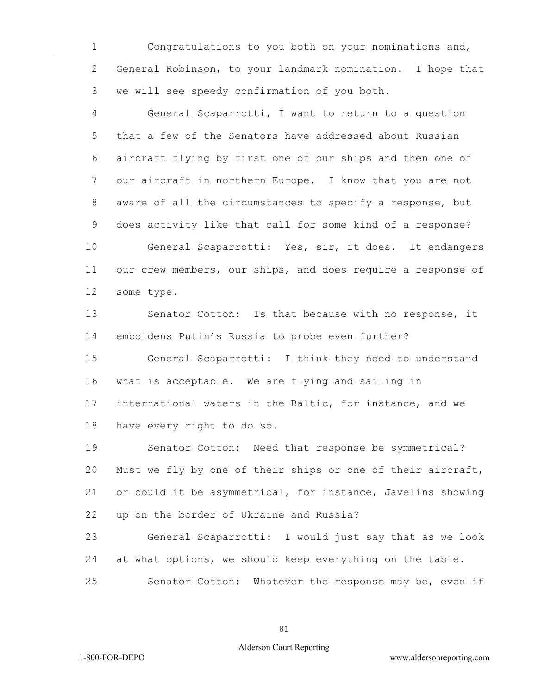1 Congratulations to you both on your nominations and, 2 General Robinson, to your landmark nomination. I hope that 3 we will see speedy confirmation of you both.

4 General Scaparrotti, I want to return to a question 5 that a few of the Senators have addressed about Russian 6 aircraft flying by first one of our ships and then one of 7 our aircraft in northern Europe. I know that you are not 8 aware of all the circumstances to specify a response, but 9 does activity like that call for some kind of a response? 10 General Scaparrotti: Yes, sir, it does. It endangers

11 our crew members, our ships, and does require a response of 12 some type.

13 Senator Cotton: Is that because with no response, it 14 emboldens Putin's Russia to probe even further?

15 General Scaparrotti: I think they need to understand 16 what is acceptable. We are flying and sailing in 17 international waters in the Baltic, for instance, and we 18 have every right to do so.

19 Senator Cotton: Need that response be symmetrical? 20 Must we fly by one of their ships or one of their aircraft, 21 or could it be asymmetrical, for instance, Javelins showing 22 up on the border of Ukraine and Russia?

23 General Scaparrotti: I would just say that as we look 24 at what options, we should keep everything on the table.

25 Senator Cotton: Whatever the response may be, even if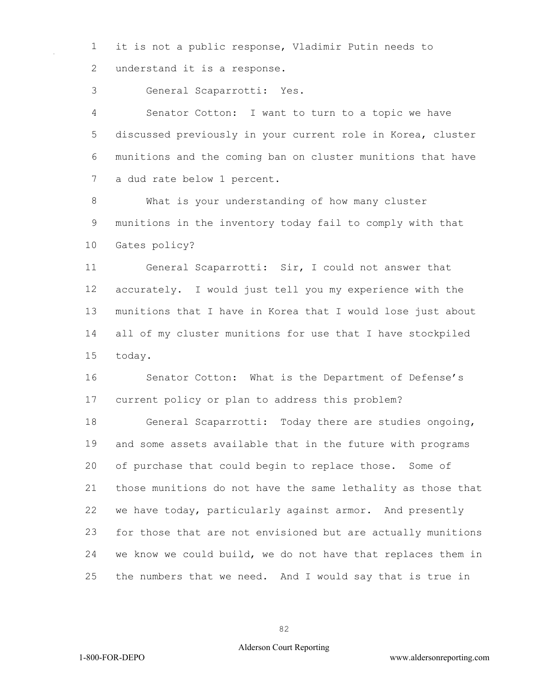it is not a public response, Vladimir Putin needs to 2 understand it is a response.

General Scaparrotti: Yes.

 Senator Cotton: I want to turn to a topic we have discussed previously in your current role in Korea, cluster munitions and the coming ban on cluster munitions that have a dud rate below 1 percent.

 What is your understanding of how many cluster munitions in the inventory today fail to comply with that Gates policy?

 General Scaparrotti: Sir, I could not answer that accurately. I would just tell you my experience with the munitions that I have in Korea that I would lose just about all of my cluster munitions for use that I have stockpiled today.

 Senator Cotton: What is the Department of Defense's current policy or plan to address this problem?

 General Scaparrotti: Today there are studies ongoing, and some assets available that in the future with programs of purchase that could begin to replace those. Some of those munitions do not have the same lethality as those that we have today, particularly against armor. And presently for those that are not envisioned but are actually munitions we know we could build, we do not have that replaces them in the numbers that we need. And I would say that is true in

## Alderson Court Reporting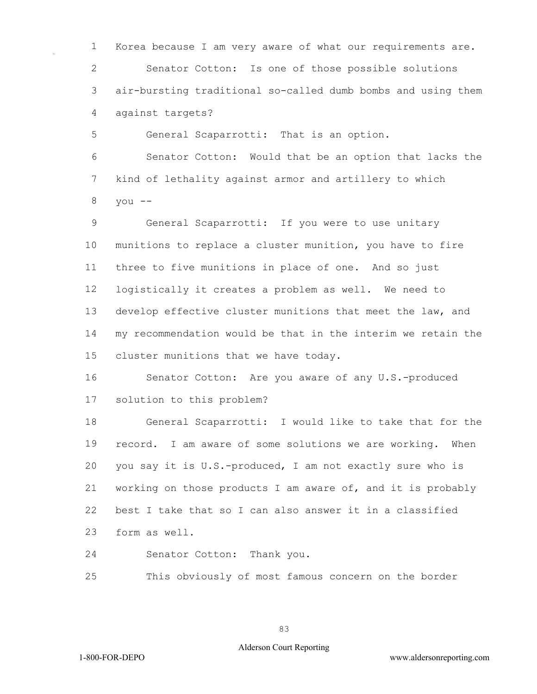Korea because I am very aware of what our requirements are. Senator Cotton: Is one of those possible solutions air-bursting traditional so-called dumb bombs and using them against targets?

General Scaparrotti: That is an option.

 Senator Cotton: Would that be an option that lacks the kind of lethality against armor and artillery to which you --

 General Scaparrotti: If you were to use unitary munitions to replace a cluster munition, you have to fire three to five munitions in place of one. And so just logistically it creates a problem as well. We need to develop effective cluster munitions that meet the law, and my recommendation would be that in the interim we retain the cluster munitions that we have today.

16 Senator Cotton: Are you aware of any U.S.-produced solution to this problem?

 General Scaparrotti: I would like to take that for the record. I am aware of some solutions we are working. When you say it is U.S.-produced, I am not exactly sure who is working on those products I am aware of, and it is probably best I take that so I can also answer it in a classified form as well.

Senator Cotton: Thank you.

This obviously of most famous concern on the border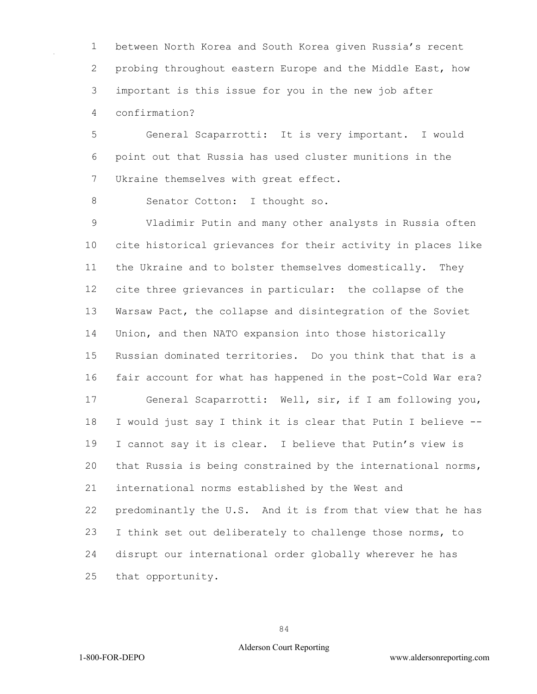between North Korea and South Korea given Russia's recent probing throughout eastern Europe and the Middle East, how important is this issue for you in the new job after confirmation?

 General Scaparrotti: It is very important. I would point out that Russia has used cluster munitions in the Ukraine themselves with great effect.

8 Senator Cotton: I thought so.

 Vladimir Putin and many other analysts in Russia often cite historical grievances for their activity in places like the Ukraine and to bolster themselves domestically. They cite three grievances in particular: the collapse of the Warsaw Pact, the collapse and disintegration of the Soviet Union, and then NATO expansion into those historically Russian dominated territories. Do you think that that is a fair account for what has happened in the post-Cold War era? General Scaparrotti: Well, sir, if I am following you, I would just say I think it is clear that Putin I believe -- I cannot say it is clear. I believe that Putin's view is that Russia is being constrained by the international norms, international norms established by the West and predominantly the U.S. And it is from that view that he has I think set out deliberately to challenge those norms, to disrupt our international order globally wherever he has that opportunity.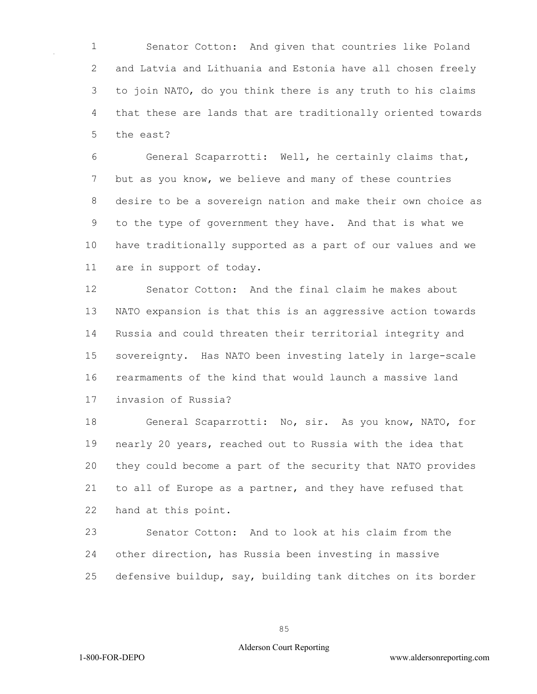Senator Cotton: And given that countries like Poland and Latvia and Lithuania and Estonia have all chosen freely to join NATO, do you think there is any truth to his claims that these are lands that are traditionally oriented towards the east?

 General Scaparrotti: Well, he certainly claims that, but as you know, we believe and many of these countries desire to be a sovereign nation and make their own choice as to the type of government they have. And that is what we have traditionally supported as a part of our values and we are in support of today.

 Senator Cotton: And the final claim he makes about NATO expansion is that this is an aggressive action towards Russia and could threaten their territorial integrity and sovereignty. Has NATO been investing lately in large-scale rearmaments of the kind that would launch a massive land invasion of Russia?

 General Scaparrotti: No, sir. As you know, NATO, for nearly 20 years, reached out to Russia with the idea that they could become a part of the security that NATO provides to all of Europe as a partner, and they have refused that hand at this point.

 Senator Cotton: And to look at his claim from the other direction, has Russia been investing in massive defensive buildup, say, building tank ditches on its border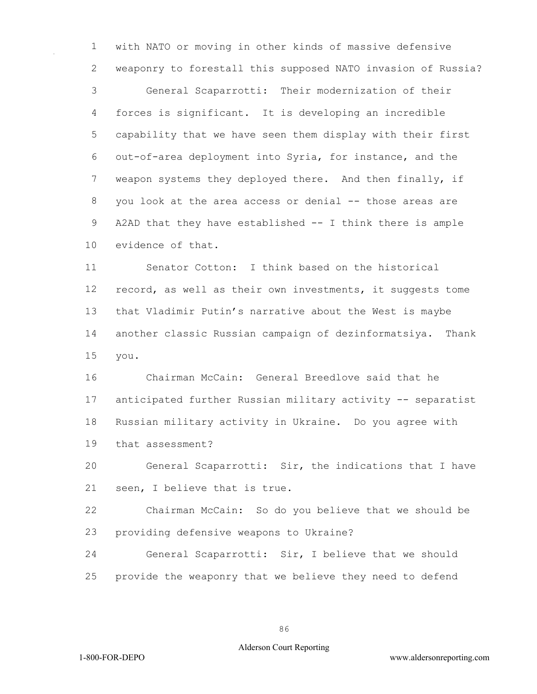with NATO or moving in other kinds of massive defensive weaponry to forestall this supposed NATO invasion of Russia?

 General Scaparrotti: Their modernization of their forces is significant. It is developing an incredible capability that we have seen them display with their first out-of-area deployment into Syria, for instance, and the weapon systems they deployed there. And then finally, if you look at the area access or denial -- those areas are A2AD that they have established -- I think there is ample evidence of that.

 Senator Cotton: I think based on the historical record, as well as their own investments, it suggests tome that Vladimir Putin's narrative about the West is maybe another classic Russian campaign of dezinformatsiya. Thank you.

 Chairman McCain: General Breedlove said that he anticipated further Russian military activity -- separatist Russian military activity in Ukraine. Do you agree with that assessment?

 General Scaparrotti: Sir, the indications that I have seen, I believe that is true.

 Chairman McCain: So do you believe that we should be providing defensive weapons to Ukraine?

 General Scaparrotti: Sir, I believe that we should provide the weaponry that we believe they need to defend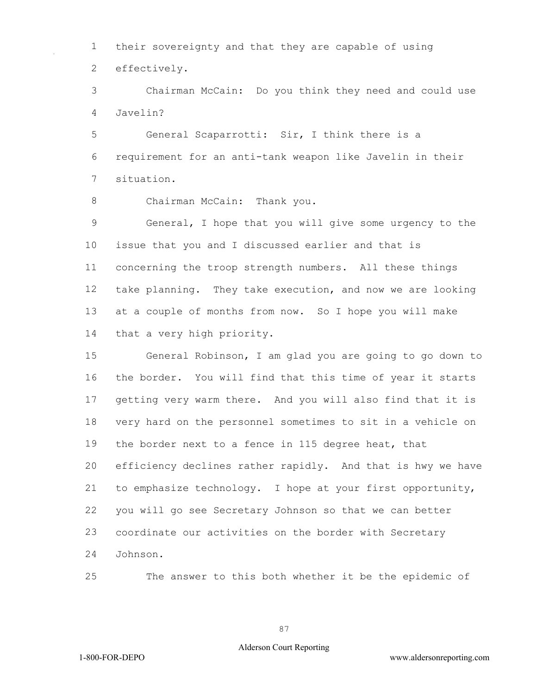their sovereignty and that they are capable of using effectively.

 Chairman McCain: Do you think they need and could use Javelin?

 General Scaparrotti: Sir, I think there is a requirement for an anti-tank weapon like Javelin in their situation.

8 Chairman McCain: Thank you.

 General, I hope that you will give some urgency to the issue that you and I discussed earlier and that is concerning the troop strength numbers. All these things take planning. They take execution, and now we are looking at a couple of months from now. So I hope you will make that a very high priority.

 General Robinson, I am glad you are going to go down to the border. You will find that this time of year it starts getting very warm there. And you will also find that it is very hard on the personnel sometimes to sit in a vehicle on the border next to a fence in 115 degree heat, that efficiency declines rather rapidly. And that is hwy we have to emphasize technology. I hope at your first opportunity, you will go see Secretary Johnson so that we can better coordinate our activities on the border with Secretary Johnson.

The answer to this both whether it be the epidemic of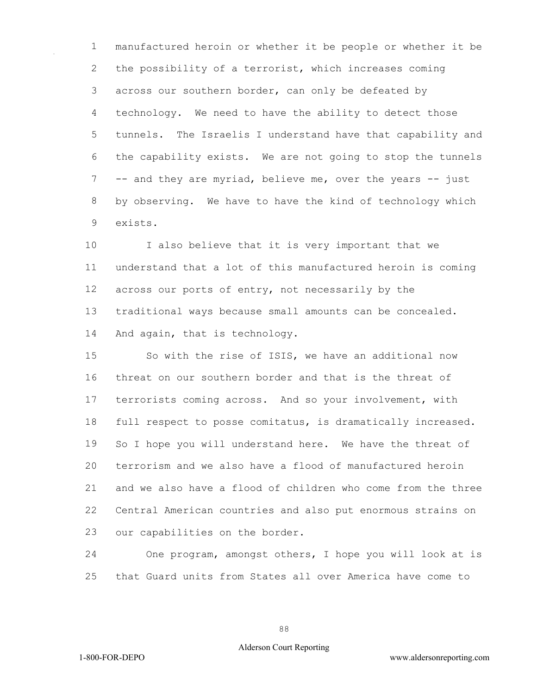manufactured heroin or whether it be people or whether it be the possibility of a terrorist, which increases coming across our southern border, can only be defeated by technology. We need to have the ability to detect those tunnels. The Israelis I understand have that capability and the capability exists. We are not going to stop the tunnels -- and they are myriad, believe me, over the years -- just by observing. We have to have the kind of technology which exists.

 I also believe that it is very important that we understand that a lot of this manufactured heroin is coming across our ports of entry, not necessarily by the traditional ways because small amounts can be concealed. And again, that is technology.

 So with the rise of ISIS, we have an additional now threat on our southern border and that is the threat of terrorists coming across. And so your involvement, with full respect to posse comitatus, is dramatically increased. So I hope you will understand here. We have the threat of terrorism and we also have a flood of manufactured heroin and we also have a flood of children who come from the three Central American countries and also put enormous strains on our capabilities on the border.

 One program, amongst others, I hope you will look at is that Guard units from States all over America have come to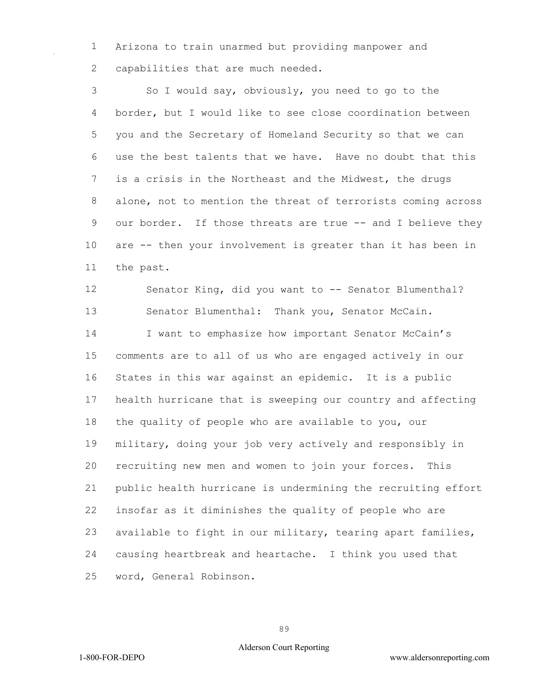Arizona to train unarmed but providing manpower and 2 capabilities that are much needed.

 So I would say, obviously, you need to go to the border, but I would like to see close coordination between you and the Secretary of Homeland Security so that we can use the best talents that we have. Have no doubt that this is a crisis in the Northeast and the Midwest, the drugs alone, not to mention the threat of terrorists coming across our border. If those threats are true -- and I believe they are -- then your involvement is greater than it has been in the past.

 Senator King, did you want to -- Senator Blumenthal? Senator Blumenthal: Thank you, Senator McCain. I want to emphasize how important Senator McCain's comments are to all of us who are engaged actively in our States in this war against an epidemic. It is a public health hurricane that is sweeping our country and affecting the quality of people who are available to you, our military, doing your job very actively and responsibly in recruiting new men and women to join your forces. This public health hurricane is undermining the recruiting effort insofar as it diminishes the quality of people who are available to fight in our military, tearing apart families, causing heartbreak and heartache. I think you used that word, General Robinson.

## Alderson Court Reporting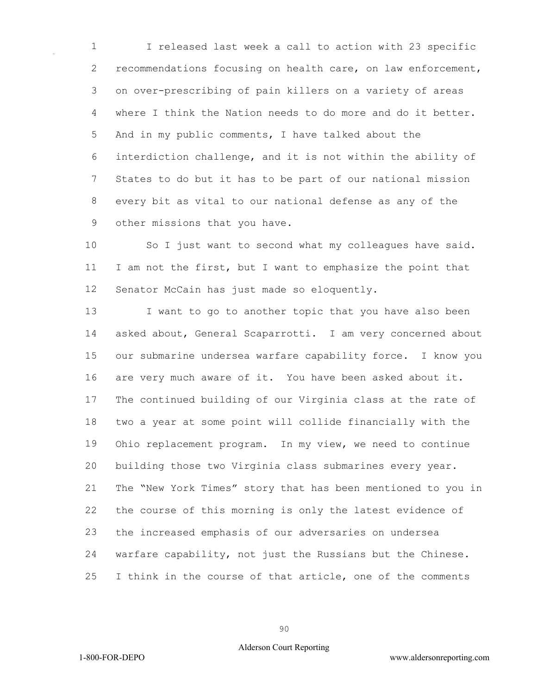I released last week a call to action with 23 specific recommendations focusing on health care, on law enforcement, on over-prescribing of pain killers on a variety of areas where I think the Nation needs to do more and do it better. And in my public comments, I have talked about the interdiction challenge, and it is not within the ability of States to do but it has to be part of our national mission every bit as vital to our national defense as any of the other missions that you have.

 So I just want to second what my colleagues have said. 11 I am not the first, but I want to emphasize the point that Senator McCain has just made so eloquently.

13 I want to go to another topic that you have also been asked about, General Scaparrotti. I am very concerned about our submarine undersea warfare capability force. I know you are very much aware of it. You have been asked about it. The continued building of our Virginia class at the rate of two a year at some point will collide financially with the Ohio replacement program. In my view, we need to continue building those two Virginia class submarines every year. The "New York Times" story that has been mentioned to you in the course of this morning is only the latest evidence of the increased emphasis of our adversaries on undersea warfare capability, not just the Russians but the Chinese. I think in the course of that article, one of the comments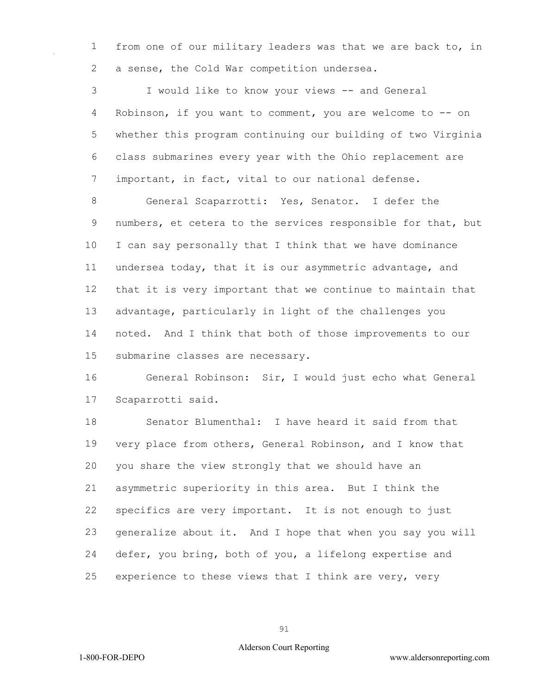from one of our military leaders was that we are back to, in a sense, the Cold War competition undersea.

 I would like to know your views -- and General Robinson, if you want to comment, you are welcome to -- on whether this program continuing our building of two Virginia class submarines every year with the Ohio replacement are important, in fact, vital to our national defense.

 General Scaparrotti: Yes, Senator. I defer the numbers, et cetera to the services responsible for that, but I can say personally that I think that we have dominance undersea today, that it is our asymmetric advantage, and that it is very important that we continue to maintain that advantage, particularly in light of the challenges you noted. And I think that both of those improvements to our submarine classes are necessary.

 General Robinson: Sir, I would just echo what General Scaparrotti said.

 Senator Blumenthal: I have heard it said from that very place from others, General Robinson, and I know that you share the view strongly that we should have an asymmetric superiority in this area. But I think the specifics are very important. It is not enough to just generalize about it. And I hope that when you say you will defer, you bring, both of you, a lifelong expertise and experience to these views that I think are very, very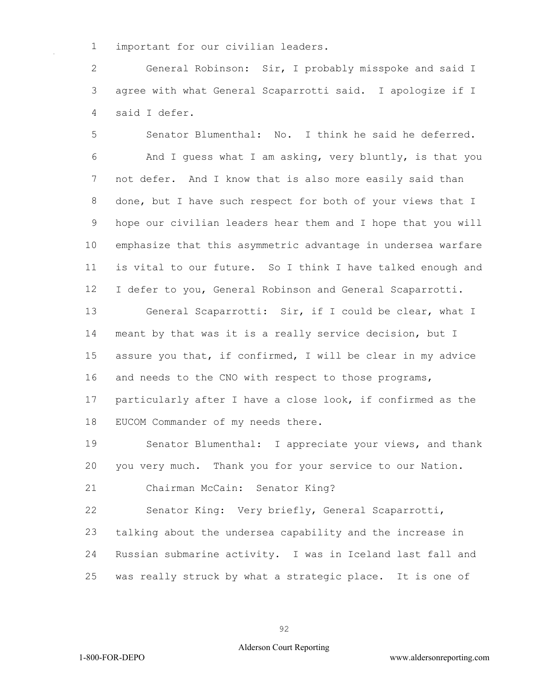important for our civilian leaders.

 General Robinson: Sir, I probably misspoke and said I agree with what General Scaparrotti said. I apologize if I said I defer.

 Senator Blumenthal: No. I think he said he deferred. And I guess what I am asking, very bluntly, is that you not defer. And I know that is also more easily said than done, but I have such respect for both of your views that I hope our civilian leaders hear them and I hope that you will emphasize that this asymmetric advantage in undersea warfare is vital to our future. So I think I have talked enough and I defer to you, General Robinson and General Scaparrotti.

 General Scaparrotti: Sir, if I could be clear, what I meant by that was it is a really service decision, but I assure you that, if confirmed, I will be clear in my advice 16 and needs to the CNO with respect to those programs, particularly after I have a close look, if confirmed as the EUCOM Commander of my needs there.

 Senator Blumenthal: I appreciate your views, and thank you very much. Thank you for your service to our Nation.

Chairman McCain: Senator King?

 Senator King: Very briefly, General Scaparrotti, talking about the undersea capability and the increase in Russian submarine activity. I was in Iceland last fall and was really struck by what a strategic place. It is one of